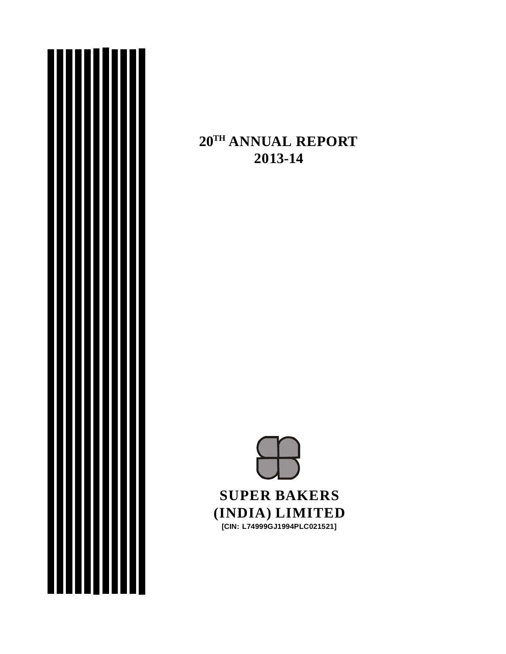

# **TH 20 ANNUAL REPORT 2013-14**

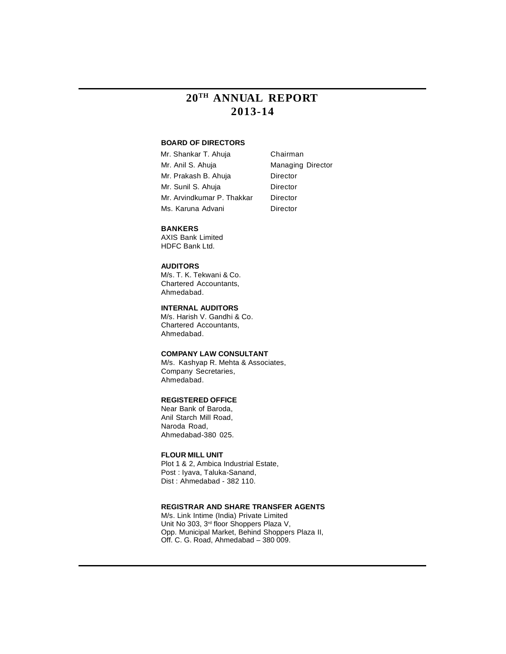# **TH 20 ANNUAL REPORT 2013-14**

#### **BOARD OF DIRECTORS**

Mr. Shankar T. Ahuja Chairman Mr. Anil S. Ahuja Managing Director Mr. Prakash B. Ahuja **Director** Mr. Sunil S. Ahuja **Director** Mr. Arvindkumar P. Thakkar Director Ms. Karuna Advani **Director** 

#### **BANKERS**

AXIS Bank Limited HDFC Bank Ltd.

#### **AUDITORS**

M/s. T. K. Tekwani & Co. Chartered Accountants, Ahmedabad.

#### **INTERNAL AUDITORS**

M/s. Harish V. Gandhi & Co. Chartered Accountants, Ahmedabad.

#### **COMPANY LAW CONSULTANT**

M/s. Kashyap R. Mehta & Associates, Company Secretaries, Ahmedabad.

#### **REGISTERED OFFICE**

Near Bank of Baroda, Anil Starch Mill Road, Naroda Road, Ahmedabad-380 025.

### **FLOUR MILL UNIT**

Plot 1 & 2, Ambica Industrial Estate, Post : Iyava, Taluka-Sanand, Dist : Ahmedabad - 382 110.

#### **REGISTRAR AND SHARE TRANSFER AGENTS**

M/s. Link Intime (India) Private Limited Unit No 303, 3<sup>rd</sup> floor Shoppers Plaza V, Opp. Municipal Market, Behind Shoppers Plaza II, Off. C. G. Road, Ahmedabad – 380 009.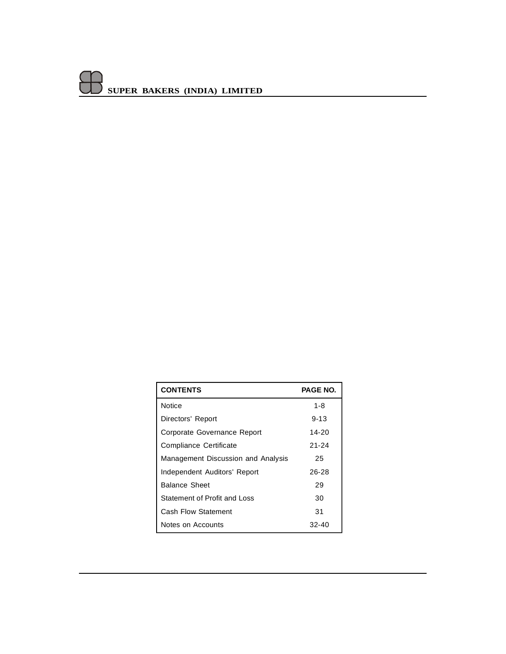

| <b>CONTENTS</b>                    | PAGE NO.  |
|------------------------------------|-----------|
| Notice                             | $1 - 8$   |
| Directors' Report                  | $9 - 13$  |
| Corporate Governance Report        | $14-20$   |
| Compliance Certificate             | $21 - 24$ |
| Management Discussion and Analysis | 25        |
| Independent Auditors' Report       | 26-28     |
| <b>Balance Sheet</b>               | 29        |
| Statement of Profit and Loss       | 30        |
| <b>Cash Flow Statement</b>         | 31        |
| Notes on Accounts                  | 32-40     |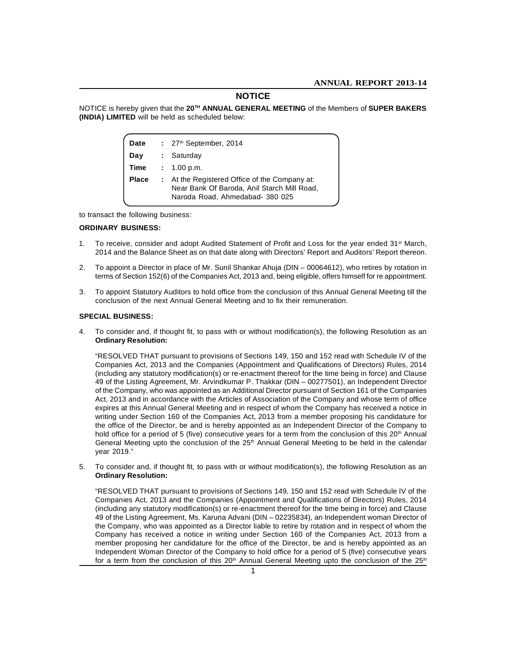### **NOTICE**

NOTICE is hereby given that the 20<sup>TH</sup> ANNUAL GENERAL MEETING of the Members of SUPER BAKERS **(INDIA) LIMITED** will be held as scheduled below:

| Date         | : 27 <sup>th</sup> September, 2014                                                                                              |
|--------------|---------------------------------------------------------------------------------------------------------------------------------|
| Day          | : Saturday                                                                                                                      |
| Time         | : 1.00 p.m.                                                                                                                     |
| <b>Place</b> | : At the Registered Office of the Company at:<br>Near Bank Of Baroda, Anil Starch Mill Road,<br>Naroda Road, Ahmedabad- 380 025 |

to transact the following business:

#### **ORDINARY BUSINESS:**

- 1. To receive, consider and adopt Audited Statement of Profit and Loss for the year ended  $31<sup>st</sup>$  March, 2014 and the Balance Sheet as on that date along with Directors' Report and Auditors' Report thereon.
- 2. To appoint a Director in place of Mr. Sunil Shankar Ahuja (DIN 00064612), who retires by rotation in terms of Section 152(6) of the Companies Act, 2013 and, being eligible, offers himself for re appointment.
- 3. To appoint Statutory Auditors to hold office from the conclusion of this Annual General Meeting till the conclusion of the next Annual General Meeting and to fix their remuneration.

#### **SPECIAL BUSINESS:**

4. To consider and, if thought fit, to pass with or without modification(s), the following Resolution as an **Ordinary Resolution:**

"RESOLVED THAT pursuant to provisions of Sections 149, 150 and 152 read with Schedule IV of the Companies Act, 2013 and the Companies (Appointment and Qualifications of Directors) Rules, 2014 (including any statutory modification(s) or re-enactment thereof for the time being in force) and Clause 49 of the Listing Agreement, Mr. Arvindkumar P. Thakkar (DIN – 00277501), an Independent Director of the Company, who was appointed as an Additional Director pursuant of Section 161 of the Companies Act, 2013 and in accordance with the Articles of Association of the Company and whose term of office expires at this Annual General Meeting and in respect of whom the Company has received a notice in writing under Section 160 of the Companies Act, 2013 from a member proposing his candidature for the office of the Director, be and is hereby appointed as an Independent Director of the Company to hold office for a period of 5 (five) consecutive years for a term from the conclusion of this  $20<sup>th</sup>$  Annual General Meeting upto the conclusion of the  $25<sup>th</sup>$  Annual General Meeting to be held in the calendar year 2019."

5. To consider and, if thought fit, to pass with or without modification(s), the following Resolution as an **Ordinary Resolution:**

"RESOLVED THAT pursuant to provisions of Sections 149, 150 and 152 read with Schedule IV of the Companies Act, 2013 and the Companies (Appointment and Qualifications of Directors) Rules, 2014 (including any statutory modification(s) or re-enactment thereof for the time being in force) and Clause 49 of the Listing Agreement, Ms. Karuna Advani (DIN – 02235834), an Independent woman Director of the Company, who was appointed as a Director liable to retire by rotation and in respect of whom the Company has received a notice in writing under Section 160 of the Companies Act, 2013 from a member proposing her candidature for the office of the Director, be and is hereby appointed as an Independent Woman Director of the Company to hold office for a period of 5 (five) consecutive years for a term from the conclusion of this 20<sup>th</sup> Annual General Meeting upto the conclusion of the 25<sup>th</sup>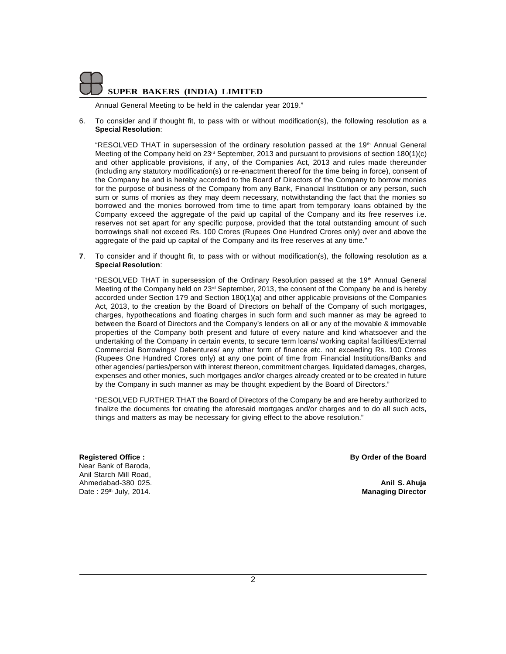Annual General Meeting to be held in the calendar year 2019."

6. To consider and if thought fit, to pass with or without modification(s), the following resolution as a **Special Resolution**:

"RESOLVED THAT in supersession of the ordinary resolution passed at the 19<sup>th</sup> Annual General Meeting of the Company held on  $23<sup>rd</sup>$  September, 2013 and pursuant to provisions of section 180(1)(c) and other applicable provisions, if any, of the Companies Act, 2013 and rules made thereunder (including any statutory modification(s) or re-enactment thereof for the time being in force), consent of the Company be and is hereby accorded to the Board of Directors of the Company to borrow monies for the purpose of business of the Company from any Bank, Financial Institution or any person, such sum or sums of monies as they may deem necessary, notwithstanding the fact that the monies so borrowed and the monies borrowed from time to time apart from temporary loans obtained by the Company exceed the aggregate of the paid up capital of the Company and its free reserves i.e. reserves not set apart for any specific purpose, provided that the total outstanding amount of such borrowings shall not exceed Rs. 100 Crores (Rupees One Hundred Crores only) over and above the aggregate of the paid up capital of the Company and its free reserves at any time."

**7**. To consider and if thought fit, to pass with or without modification(s), the following resolution as a **Special Resolution**:

"RESOLVED THAT in supersession of the Ordinary Resolution passed at the 19<sup>th</sup> Annual General Meeting of the Company held on  $23<sup>rd</sup>$  September, 2013, the consent of the Company be and is hereby accorded under Section 179 and Section 180(1)(a) and other applicable provisions of the Companies Act, 2013, to the creation by the Board of Directors on behalf of the Company of such mortgages, charges, hypothecations and floating charges in such form and such manner as may be agreed to between the Board of Directors and the Company's lenders on all or any of the movable & immovable properties of the Company both present and future of every nature and kind whatsoever and the undertaking of the Company in certain events, to secure term loans/ working capital facilities/External Commercial Borrowings/ Debentures/ any other form of finance etc. not exceeding Rs. 100 Crores (Rupees One Hundred Crores only) at any one point of time from Financial Institutions/Banks and other agencies/ parties/person with interest thereon, commitment charges, liquidated damages, charges, expenses and other monies, such mortgages and/or charges already created or to be created in future by the Company in such manner as may be thought expedient by the Board of Directors."

"RESOLVED FURTHER THAT the Board of Directors of the Company be and are hereby authorized to finalize the documents for creating the aforesaid mortgages and/or charges and to do all such acts, things and matters as may be necessary for giving effect to the above resolution."

Near Bank of Baroda, Anil Starch Mill Road, Ahmedabad-380 025. **Anil S. Ahuja** Date: 29<sup>th</sup> July, 2014. **Managing Director Managing Director** 

**Registered Office : By Order of the Board**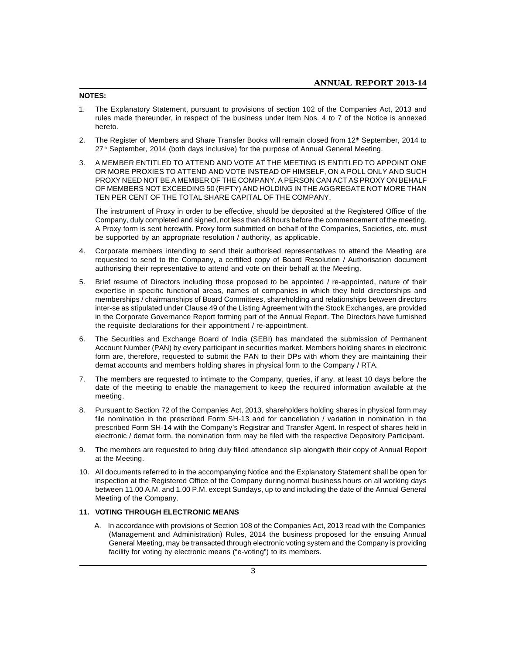#### **NOTES:**

- 1. The Explanatory Statement, pursuant to provisions of section 102 of the Companies Act, 2013 and rules made thereunder, in respect of the business under Item Nos. 4 to 7 of the Notice is annexed hereto.
- 2. The Register of Members and Share Transfer Books will remain closed from 12<sup>th</sup> September, 2014 to  $27<sup>th</sup>$  September, 2014 (both days inclusive) for the purpose of Annual General Meeting.
- 3. A MEMBER ENTITLED TO ATTEND AND VOTE AT THE MEETING IS ENTITLED TO APPOINT ONE OR MORE PROXIES TO ATTEND AND VOTE INSTEAD OF HIMSELF, ON A POLL ONLY AND SUCH PROXY NEED NOT BE A MEMBER OF THE COMPANY. A PERSON CAN ACT AS PROXY ON BEHALF OF MEMBERS NOT EXCEEDING 50 (FIFTY) AND HOLDING IN THE AGGREGATE NOT MORE THAN TEN PER CENT OF THE TOTAL SHARE CAPITAL OF THE COMPANY.

The instrument of Proxy in order to be effective, should be deposited at the Registered Office of the Company, duly completed and signed, not less than 48 hours before the commencement of the meeting. A Proxy form is sent herewith. Proxy form submitted on behalf of the Companies, Societies, etc. must be supported by an appropriate resolution / authority, as applicable.

- 4. Corporate members intending to send their authorised representatives to attend the Meeting are requested to send to the Company, a certified copy of Board Resolution / Authorisation document authorising their representative to attend and vote on their behalf at the Meeting.
- 5. Brief resume of Directors including those proposed to be appointed / re-appointed, nature of their expertise in specific functional areas, names of companies in which they hold directorships and memberships / chairmanships of Board Committees, shareholding and relationships between directors inter-se as stipulated under Clause 49 of the Listing Agreement with the Stock Exchanges, are provided in the Corporate Governance Report forming part of the Annual Report. The Directors have furnished the requisite declarations for their appointment / re-appointment.
- 6. The Securities and Exchange Board of India (SEBI) has mandated the submission of Permanent Account Number (PAN) by every participant in securities market. Members holding shares in electronic form are, therefore, requested to submit the PAN to their DPs with whom they are maintaining their demat accounts and members holding shares in physical form to the Company / RTA.
- 7. The members are requested to intimate to the Company, queries, if any, at least 10 days before the date of the meeting to enable the management to keep the required information available at the meeting.
- 8. Pursuant to Section 72 of the Companies Act, 2013, shareholders holding shares in physical form may file nomination in the prescribed Form SH-13 and for cancellation / variation in nomination in the prescribed Form SH-14 with the Company's Registrar and Transfer Agent. In respect of shares held in electronic / demat form, the nomination form may be filed with the respective Depository Participant.
- 9. The members are requested to bring duly filled attendance slip alongwith their copy of Annual Report at the Meeting.
- 10. All documents referred to in the accompanying Notice and the Explanatory Statement shall be open for inspection at the Registered Office of the Company during normal business hours on all working days between 11.00 A.M. and 1.00 P.M. except Sundays, up to and including the date of the Annual General Meeting of the Company.

#### **11. VOTING THROUGH ELECTRONIC MEANS**

A. In accordance with provisions of Section 108 of the Companies Act, 2013 read with the Companies (Management and Administration) Rules, 2014 the business proposed for the ensuing Annual General Meeting, may be transacted through electronic voting system and the Company is providing facility for voting by electronic means ("e-voting") to its members.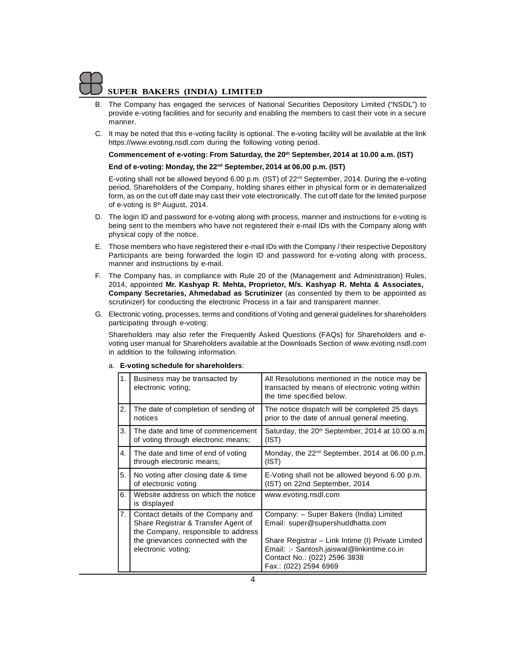- B. The Company has engaged the services of National Securities Depository Limited ("NSDL") to provide e-voting facilities and for security and enabling the members to cast their vote in a secure manner.
- C. It may be noted that this e-voting facility is optional. The e-voting facility will be available at the link https://www.evoting.nsdl.com during the following voting period.

#### Commencement of e-voting: From Saturday, the 20<sup>th</sup> September, 2014 at 10.00 a.m. (IST)

#### **End of e-voting: Monday, the 22<sup>nd</sup> September, 2014 at 06.00 p.m. (IST)**

E-voting shall not be allowed beyond 6.00 p.m. (IST) of  $22<sup>nd</sup>$  September, 2014. During the e-voting period, Shareholders of the Company, holding shares either in physical form or in dematerialized form, as on the cut off date may cast their vote electronically. The cut off date for the limited purpose of e-voting is  $8<sup>th</sup>$  August, 2014.

- D. The login ID and password for e-voting along with process, manner and instructions for e-voting is being sent to the members who have not registered their e-mail IDs with the Company along with physical copy of the notice.
- E. Those members who have registered their e-mail IDs with the Company / their respective Depository Participants are being forwarded the login ID and password for e-voting along with process, manner and instructions by e-mail.
- F. The Company has, in compliance with Rule 20 of the (Management and Administration) Rules, 2014, appointed **Mr. Kashyap R. Mehta, Proprietor, M/s. Kashyap R. Mehta & Associates, Company Secretaries, Ahmedabad as Scrutinizer** (as consented by them to be appointed as scrutinizer) for conducting the electronic Process in a fair and transparent manner.
- G. Electronic voting, processes, terms and conditions of Voting and general guidelines for shareholders participating through e-voting:

Shareholders may also refer the Frequently Asked Questions (FAQs) for Shareholders and evoting user manual for Shareholders available at the Downloads Section of www.evoting.nsdl.com in addition to the following information.

| 1. | Business may be transacted by<br>electronic voting;                                                                                                                         | All Resolutions mentioned in the notice may be<br>transacted by means of electronic voting within<br>the time specified below.                                                                                                          |
|----|-----------------------------------------------------------------------------------------------------------------------------------------------------------------------------|-----------------------------------------------------------------------------------------------------------------------------------------------------------------------------------------------------------------------------------------|
| 2. | The date of completion of sending of<br>notices                                                                                                                             | The notice dispatch will be completed 25 days<br>prior to the date of annual general meeting.                                                                                                                                           |
| 3. | The date and time of commencement<br>of voting through electronic means;                                                                                                    | Saturday, the 20 <sup>th</sup> September, 2014 at 10.00 a.m.<br>(IST)                                                                                                                                                                   |
| 4. | The date and time of end of voting<br>through electronic means;                                                                                                             | Monday, the 22 <sup>nd</sup> September, 2014 at 06.00 p.m.<br>(IST)                                                                                                                                                                     |
| 5. | No voting after closing date & time<br>of electronic voting                                                                                                                 | E-Voting shall not be allowed beyond 6.00 p.m.<br>(IST) on 22nd September, 2014                                                                                                                                                         |
| 6. | Website address on which the notice<br>is displayed                                                                                                                         | www.evoting.nsdl.com                                                                                                                                                                                                                    |
| 7. | Contact details of the Company and<br>Share Registrar & Transfer Agent of<br>the Company, responsible to address<br>the grievances connected with the<br>electronic voting; | Company: - Super Bakers (India) Limited<br>Email: super@supershuddhatta.com<br>Share Registrar - Link Intime (I) Private Limited<br>Email: :- Santosh.jaiswal@linkintime.co.in<br>Contact No.: (022) 2596 3838<br>Fax.: (022) 2594 6969 |

#### a. **E-voting schedule for shareholders**: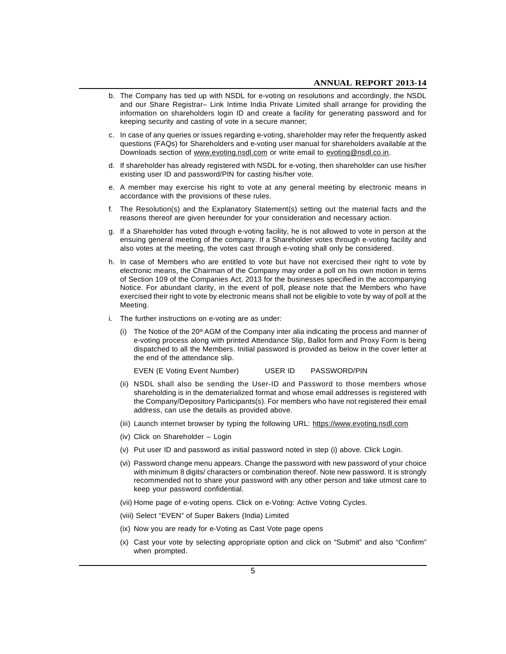- b. The Company has tied up with NSDL for e-voting on resolutions and accordingly, the NSDL and our Share Registrar– Link Intime India Private Limited shall arrange for providing the information on shareholders login ID and create a facility for generating password and for keeping security and casting of vote in a secure manner;
- c. In case of any queries or issues regarding e-voting, shareholder may refer the frequently asked questions (FAQs) for Shareholders and e-voting user manual for shareholders available at the Downloads section of www.evoting.nsdl.com or write email to evoting@nsdl.co.in.
- d. If shareholder has already registered with NSDL for e-voting, then shareholder can use his/her existing user ID and password/PIN for casting his/her vote.
- e. A member may exercise his right to vote at any general meeting by electronic means in accordance with the provisions of these rules.
- f. The Resolution(s) and the Explanatory Statement(s) setting out the material facts and the reasons thereof are given hereunder for your consideration and necessary action.
- g. If a Shareholder has voted through e-voting facility, he is not allowed to vote in person at the ensuing general meeting of the company. If a Shareholder votes through e-voting facility and also votes at the meeting, the votes cast through e-voting shall only be considered.
- h. In case of Members who are entitled to vote but have not exercised their right to vote by electronic means, the Chairman of the Company may order a poll on his own motion in terms of Section 109 of the Companies Act, 2013 for the businesses specified in the accompanying Notice. For abundant clarity, in the event of poll, please note that the Members who have exercised their right to vote by electronic means shall not be eligible to vote by way of poll at the Meeting.
- i. The further instructions on e-voting are as under:
	- (i) The Notice of the 20<sup>th</sup> AGM of the Company inter alia indicating the process and manner of e-voting process along with printed Attendance Slip, Ballot form and Proxy Form is being dispatched to all the Members. Initial password is provided as below in the cover letter at the end of the attendance slip.

EVEN (E Voting Event Number) USER ID PASSWORD/PIN

- (ii) NSDL shall also be sending the User-ID and Password to those members whose shareholding is in the dematerialized format and whose email addresses is registered with the Company/Depository Participants(s). For members who have not registered their email address, can use the details as provided above.
- (iii) Launch internet browser by typing the following URL: https://www.evoting.nsdl.com
- (iv) Click on Shareholder Login
- (v) Put user ID and password as initial password noted in step (i) above. Click Login.
- (vi) Password change menu appears. Change the password with new password of your choice with minimum 8 digits/ characters or combination thereof. Note new password. It is strongly recommended not to share your password with any other person and take utmost care to keep your password confidential.
- (vii) Home page of e-voting opens. Click on e-Voting: Active Voting Cycles.
- (viii) Select "EVEN" of Super Bakers (India) Limited
- (ix) Now you are ready for e-Voting as Cast Vote page opens
- (x) Cast your vote by selecting appropriate option and click on "Submit" and also "Confirm" when prompted.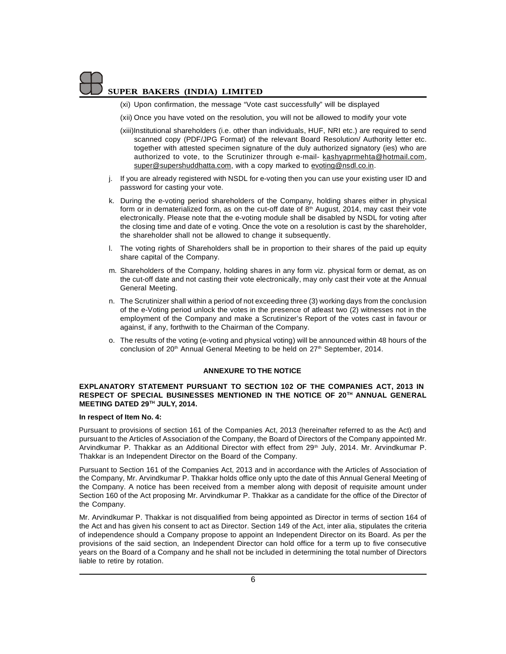(xi) Upon confirmation, the message "Vote cast successfully" will be displayed

(xii) Once you have voted on the resolution, you will not be allowed to modify your vote

- (xiii)Institutional shareholders (i.e. other than individuals, HUF, NRI etc.) are required to send scanned copy (PDF/JPG Format) of the relevant Board Resolution/ Authority letter etc. together with attested specimen signature of the duly authorized signatory (ies) who are authorized to vote, to the Scrutinizer through e-mail- kashyaprmehta@hotmail.com, super@supershuddhatta.com, with a copy marked to evoting@nsdl.co.in.
- j. If you are already registered with NSDL for e-voting then you can use your existing user ID and password for casting your vote.
- k. During the e-voting period shareholders of the Company, holding shares either in physical form or in dematerialized form, as on the cut-off date of  $8<sup>th</sup>$  August, 2014, may cast their vote electronically. Please note that the e-voting module shall be disabled by NSDL for voting after the closing time and date of e voting. Once the vote on a resolution is cast by the shareholder, the shareholder shall not be allowed to change it subsequently.
- l. The voting rights of Shareholders shall be in proportion to their shares of the paid up equity share capital of the Company.
- m. Shareholders of the Company, holding shares in any form viz. physical form or demat, as on the cut-off date and not casting their vote electronically, may only cast their vote at the Annual General Meeting.
- n. The Scrutinizer shall within a period of not exceeding three (3) working days from the conclusion of the e-Voting period unlock the votes in the presence of atleast two (2) witnesses not in the employment of the Company and make a Scrutinizer's Report of the votes cast in favour or against, if any, forthwith to the Chairman of the Company.
- o. The results of the voting (e-voting and physical voting) will be announced within 48 hours of the conclusion of 20<sup>th</sup> Annual General Meeting to be held on 27<sup>th</sup> September, 2014.

#### **ANNEXURE TO THE NOTICE**

#### **EXPLANATORY STATEMENT PURSUANT TO SECTION 102 OF THE COMPANIES ACT, 2013 IN RESPECT O TH F SPECIAL BUSINESSES MENTIONED IN THE NOTICE OF 20 ANNUAL GENERAL MEE TH TING DATED 29 JULY, 2014.**

#### **In respect of Item No. 4:**

Pursuant to provisions of section 161 of the Companies Act, 2013 (hereinafter referred to as the Act) and pursuant to the Articles of Association of the Company, the Board of Directors of the Company appointed Mr. Arvindkumar P. Thakkar as an Additional Director with effect from 29<sup>th</sup> July, 2014. Mr. Arvindkumar P. Thakkar is an Independent Director on the Board of the Company.

Pursuant to Section 161 of the Companies Act, 2013 and in accordance with the Articles of Association of the Company, Mr. Arvindkumar P. Thakkar holds office only upto the date of this Annual General Meeting of the Company. A notice has been received from a member along with deposit of requisite amount under Section 160 of the Act proposing Mr. Arvindkumar P. Thakkar as a candidate for the office of the Director of the Company.

Mr. Arvindkumar P. Thakkar is not disqualified from being appointed as Director in terms of section 164 of the Act and has given his consent to act as Director. Section 149 of the Act, inter alia, stipulates the criteria of independence should a Company propose to appoint an Independent Director on its Board. As per the provisions of the said section, an Independent Director can hold office for a term up to five consecutive years on the Board of a Company and he shall not be included in determining the total number of Directors liable to retire by rotation.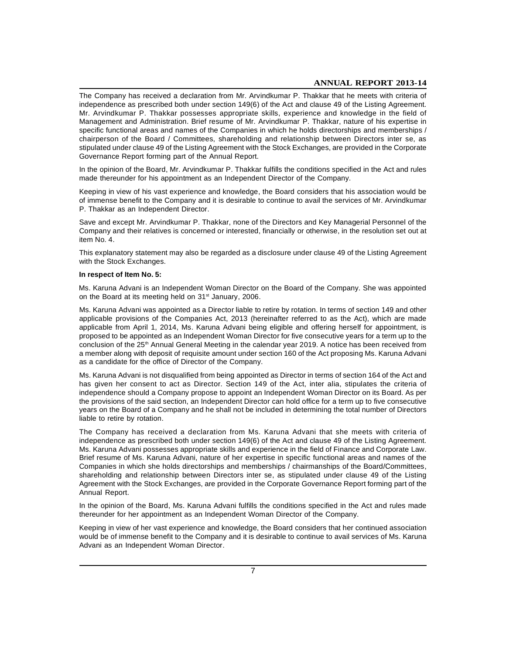The Company has received a declaration from Mr. Arvindkumar P. Thakkar that he meets with criteria of independence as prescribed both under section 149(6) of the Act and clause 49 of the Listing Agreement. Mr. Arvindkumar P. Thakkar possesses appropriate skills, experience and knowledge in the field of Management and Administration. Brief resume of Mr. Arvindkumar P. Thakkar, nature of his expertise in specific functional areas and names of the Companies in which he holds directorships and memberships / chairperson of the Board / Committees, shareholding and relationship between Directors inter se, as stipulated under clause 49 of the Listing Agreement with the Stock Exchanges, are provided in the Corporate Governance Report forming part of the Annual Report.

In the opinion of the Board, Mr. Arvindkumar P. Thakkar fulfills the conditions specified in the Act and rules made thereunder for his appointment as an Independent Director of the Company.

Keeping in view of his vast experience and knowledge, the Board considers that his association would be of immense benefit to the Company and it is desirable to continue to avail the services of Mr. Arvindkumar P. Thakkar as an Independent Director.

Save and except Mr. Arvindkumar P. Thakkar, none of the Directors and Key Managerial Personnel of the Company and their relatives is concerned or interested, financially or otherwise, in the resolution set out at item No. 4.

This explanatory statement may also be regarded as a disclosure under clause 49 of the Listing Agreement with the Stock Exchanges.

#### **In respect of Item No. 5:**

Ms. Karuna Advani is an Independent Woman Director on the Board of the Company. She was appointed on the Board at its meeting held on 31<sup>st</sup> January, 2006.

Ms. Karuna Advani was appointed as a Director liable to retire by rotation. In terms of section 149 and other applicable provisions of the Companies Act, 2013 (hereinafter referred to as the Act), which are made applicable from April 1, 2014, Ms. Karuna Advani being eligible and offering herself for appointment, is proposed to be appointed as an Independent Woman Director for five consecutive years for a term up to the conclusion of the 25<sup>th</sup> Annual General Meeting in the calendar year 2019. A notice has been received from a member along with deposit of requisite amount under section 160 of the Act proposing Ms. Karuna Advani as a candidate for the office of Director of the Company.

Ms. Karuna Advani is not disqualified from being appointed as Director in terms of section 164 of the Act and has given her consent to act as Director. Section 149 of the Act, inter alia, stipulates the criteria of independence should a Company propose to appoint an Independent Woman Director on its Board. As per the provisions of the said section, an Independent Director can hold office for a term up to five consecutive years on the Board of a Company and he shall not be included in determining the total number of Directors liable to retire by rotation.

The Company has received a declaration from Ms. Karuna Advani that she meets with criteria of independence as prescribed both under section 149(6) of the Act and clause 49 of the Listing Agreement. Ms. Karuna Advani possesses appropriate skills and experience in the field of Finance and Corporate Law. Brief resume of Ms. Karuna Advani, nature of her expertise in specific functional areas and names of the Companies in which she holds directorships and memberships / chairmanships of the Board/Committees, shareholding and relationship between Directors inter se, as stipulated under clause 49 of the Listing Agreement with the Stock Exchanges, are provided in the Corporate Governance Report forming part of the Annual Report.

In the opinion of the Board, Ms. Karuna Advani fulfills the conditions specified in the Act and rules made thereunder for her appointment as an Independent Woman Director of the Company.

Keeping in view of her vast experience and knowledge, the Board considers that her continued association would be of immense benefit to the Company and it is desirable to continue to avail services of Ms. Karuna Advani as an Independent Woman Director.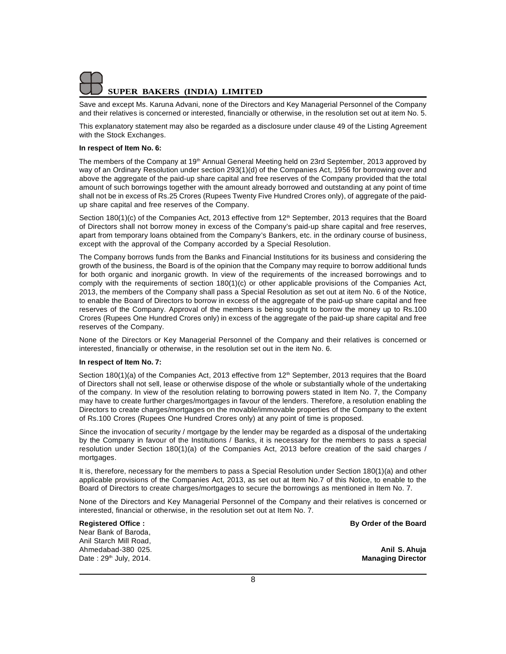

Save and except Ms. Karuna Advani, none of the Directors and Key Managerial Personnel of the Company and their relatives is concerned or interested, financially or otherwise, in the resolution set out at item No. 5.

This explanatory statement may also be regarded as a disclosure under clause 49 of the Listing Agreement with the Stock Exchanges.

#### **In respect of Item No. 6:**

The members of the Company at 19<sup>th</sup> Annual General Meeting held on 23rd September, 2013 approved by way of an Ordinary Resolution under section 293(1)(d) of the Companies Act, 1956 for borrowing over and above the aggregate of the paid-up share capital and free reserves of the Company provided that the total amount of such borrowings together with the amount already borrowed and outstanding at any point of time shall not be in excess of Rs.25 Crores (Rupees Twenty Five Hundred Crores only), of aggregate of the paidup share capital and free reserves of the Company.

Section 180(1)(c) of the Companies Act, 2013 effective from 12<sup>th</sup> September, 2013 requires that the Board of Directors shall not borrow money in excess of the Company's paid-up share capital and free reserves, apart from temporary loans obtained from the Company's Bankers, etc. in the ordinary course of business, except with the approval of the Company accorded by a Special Resolution.

The Company borrows funds from the Banks and Financial Institutions for its business and considering the growth of the business, the Board is of the opinion that the Company may require to borrow additional funds for both organic and inorganic growth. In view of the requirements of the increased borrowings and to comply with the requirements of section 180(1)(c) or other applicable provisions of the Companies Act, 2013, the members of the Company shall pass a Special Resolution as set out at item No. 6 of the Notice, to enable the Board of Directors to borrow in excess of the aggregate of the paid-up share capital and free reserves of the Company. Approval of the members is being sought to borrow the money up to Rs.100 Crores (Rupees One Hundred Crores only) in excess of the aggregate of the paid-up share capital and free reserves of the Company.

None of the Directors or Key Managerial Personnel of the Company and their relatives is concerned or interested, financially or otherwise, in the resolution set out in the item No. 6.

#### **In respect of Item No. 7:**

Section 180(1)(a) of the Companies Act, 2013 effective from 12<sup>th</sup> September, 2013 requires that the Board of Directors shall not sell, lease or otherwise dispose of the whole or substantially whole of the undertaking of the company. In view of the resolution relating to borrowing powers stated in Item No. 7, the Company may have to create further charges/mortgages in favour of the lenders. Therefore, a resolution enabling the Directors to create charges/mortgages on the movable/immovable properties of the Company to the extent of Rs.100 Crores (Rupees One Hundred Crores only) at any point of time is proposed.

Since the invocation of security / mortgage by the lender may be regarded as a disposal of the undertaking by the Company in favour of the Institutions / Banks, it is necessary for the members to pass a special resolution under Section 180(1)(a) of the Companies Act, 2013 before creation of the said charges / mortgages.

It is, therefore, necessary for the members to pass a Special Resolution under Section 180(1)(a) and other applicable provisions of the Companies Act, 2013, as set out at Item No.7 of this Notice, to enable to the Board of Directors to create charges/mortgages to secure the borrowings as mentioned in Item No. 7.

None of the Directors and Key Managerial Personnel of the Company and their relatives is concerned or interested, financial or otherwise, in the resolution set out at Item No. 7.

**Registered Office : By Order of the Board**

Near Bank of Baroda, Anil Starch Mill Road, Ahmedabad-380 025. **Anil S. Ahuja** Date: 29<sup>th</sup> July, 2014. **Managing Director Managing Director**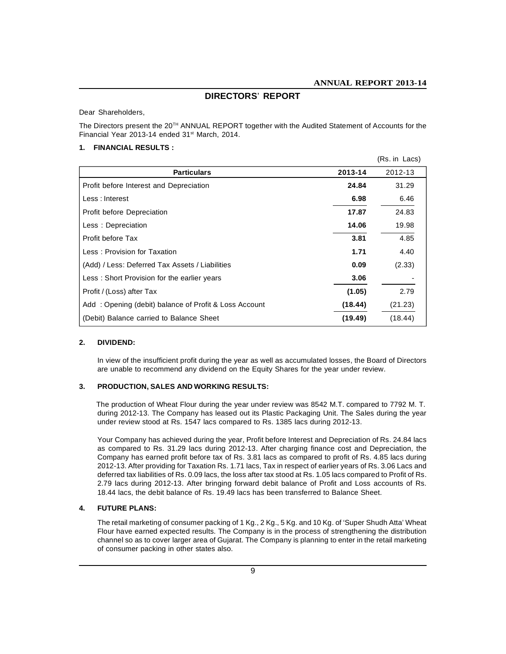# **DIRECTORS**' **REPORT**

Dear Shareholders,

The Directors present the 20<sup>TH</sup> ANNUAL REPORT together with the Audited Statement of Accounts for the Financial Year 2013-14 ended 31<sup>st</sup> March, 2014.

# **1. FINANCIAL RESULTS :**

|                                                       |         | (Rs. in Lacs) |
|-------------------------------------------------------|---------|---------------|
| <b>Particulars</b>                                    | 2013-14 | 2012-13       |
| Profit before Interest and Depreciation               | 24.84   | 31.29         |
| Less: Interest                                        | 6.98    | 6.46          |
| Profit before Depreciation                            | 17.87   | 24.83         |
| Less: Depreciation                                    | 14.06   | 19.98         |
| Profit before Tax                                     | 3.81    | 4.85          |
| Less: Provision for Taxation                          | 1.71    | 4.40          |
| (Add) / Less: Deferred Tax Assets / Liabilities       | 0.09    | (2.33)        |
| Less: Short Provision for the earlier years           | 3.06    |               |
| Profit / (Loss) after Tax                             | (1.05)  | 2.79          |
| Add: Opening (debit) balance of Profit & Loss Account | (18.44) | (21.23)       |
| (Debit) Balance carried to Balance Sheet              | (19.49) | (18.44)       |

#### **2. DIVIDEND:**

In view of the insufficient profit during the year as well as accumulated losses, the Board of Directors are unable to recommend any dividend on the Equity Shares for the year under review.

#### **3. PRODUCTION, SALES AND WORKING RESULTS:**

The production of Wheat Flour during the year under review was 8542 M.T. compared to 7792 M. T. during 2012-13. The Company has leased out its Plastic Packaging Unit. The Sales during the year under review stood at Rs. 1547 lacs compared to Rs. 1385 lacs during 2012-13.

Your Company has achieved during the year, Profit before Interest and Depreciation of Rs. 24.84 lacs as compared to Rs. 31.29 lacs during 2012-13. After charging finance cost and Depreciation, the Company has earned profit before tax of Rs. 3.81 lacs as compared to profit of Rs. 4.85 lacs during 2012-13. After providing for Taxation Rs. 1.71 lacs, Tax in respect of earlier years of Rs. 3.06 Lacs and deferred tax liabilities of Rs. 0.09 lacs, the loss after tax stood at Rs. 1.05 lacs compared to Profit of Rs. 2.79 lacs during 2012-13. After bringing forward debit balance of Profit and Loss accounts of Rs. 18.44 lacs, the debit balance of Rs. 19.49 lacs has been transferred to Balance Sheet.

#### **4. FUTURE PLANS:**

The retail marketing of consumer packing of 1 Kg., 2 Kg., 5 Kg. and 10 Kg. of 'Super Shudh Atta' Wheat Flour have earned expected results. The Company is in the process of strengthening the distribution channel so as to cover larger area of Gujarat. The Company is planning to enter in the retail marketing of consumer packing in other states also.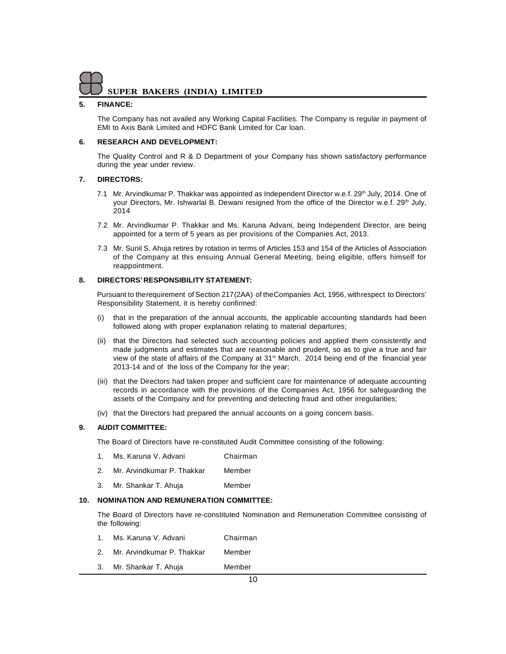#### **5. FINANCE:**

The Company has not availed any Working Capital Facilities. The Company is regular in payment of EMI to Axis Bank Limited and HDFC Bank Limited for Car loan.

#### **6. RESEARCH AND DEVELOPMENT:**

The Quality Control and R & D Department of your Company has shown satisfactory performance during the year under review.

#### **7. DIRECTORS:**

- 7.1 Mr. Arvindkumar P. Thakkar was appointed as Independent Director w.e.f. 29<sup>th</sup> July, 2014. One of your Directors, Mr. Ishwarlal B. Dewani resigned from the office of the Director w.e.f. 29<sup>th</sup> July, 2014
- 7.2 Mr. Arvindkumar P. Thakkar and Ms. Karuna Advani, being Independent Director, are being appointed for a term of 5 years as per provisions of the Companies Act, 2013.
- 7.3 Mr. Sunil S. Ahuja retires by rotation in terms of Articles 153 and 154 of the Articles of Association of the Company at this ensuing Annual General Meeting, being eligible, offers himself for reappointment.

#### **8. DIRECTORS'RESPONSIBILITY STATEMENT:**

Pursuant to the requirement of Section 217(2AA) of the Companies Act, 1956, withrespect to Directors' Responsibility Statement, it is hereby confirmed:

- (i) that in the preparation of the annual accounts, the applicable accounting standards had been followed along with proper explanation relating to material departures;
- (ii) that the Directors had selected such accounting policies and applied them consistently and made judgments and estimates that are reasonable and prudent, so as to give a true and fair view of the state of affairs of the Company at 31<sup>st</sup> March, 2014 being end of the financial year 2013-14 and of the loss of the Company for the year;
- (iii) that the Directors had taken proper and sufficient care for maintenance of adequate accounting records in accordance with the provisions of the Companies Act, 1956 for safeguarding the assets of the Company and for preventing and detecting fraud and other irregularities;
- (iv) that the Directors had prepared the annual accounts on a going concern basis.

#### **9. AUDIT COMMITTEE:**

The Board of Directors have re-constituted Audit Committee consisting of the following:

- 1. Ms. Karuna V. Advani Chairman
- 2. Mr. Arvindkumar P. Thakkar Member
- 3. Mr. Shankar T. Ahuja **Member**

#### **10. NOMINATION AND REMUNERATION COMMITTEE:**

The Board of Directors have re-constituted Nomination and Remuneration Committee consisting of the following:

- 1. Ms. Karuna V. Advani Chairman
- 2. Mr. Arvindkumar P. Thakkar Member
- 3. Mr. Shankar T. Ahuja **Member**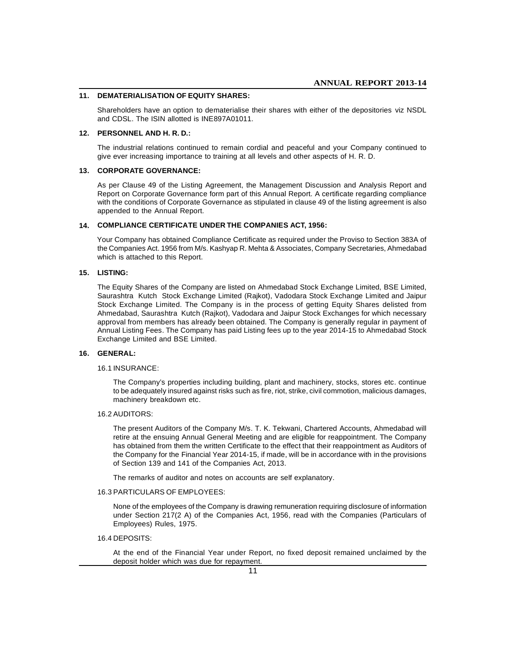#### **11. DEMATERIALISATION OF EQUITY SHARES:**

Shareholders have an option to dematerialise their shares with either of the depositories viz NSDL and CDSL. The ISIN allotted is INE897A01011.

#### **12. PERSONNEL AND H. R. D.:**

The industrial relations continued to remain cordial and peaceful and your Company continued to give ever increasing importance to training at all levels and other aspects of H. R. D.

#### **13. CORPORATE GOVERNANCE:**

As per Clause 49 of the Listing Agreement, the Management Discussion and Analysis Report and Report on Corporate Governance form part of this Annual Report. A certificate regarding compliance with the conditions of Corporate Governance as stipulated in clause 49 of the listing agreement is also appended to the Annual Report.

#### **14. COMPLIANCE CERTIFICATE UNDER THE COMPANIES ACT, 1956:**

Your Company has obtained Compliance Certificate as required under the Proviso to Section 383A of the Companies Act. 1956 from M/s. Kashyap R. Mehta & Associates, Company Secretaries, Ahmedabad which is attached to this Report.

#### **15. LISTING:**

The Equity Shares of the Company are listed on Ahmedabad Stock Exchange Limited, BSE Limited, Saurashtra Kutch Stock Exchange Limited (Rajkot), Vadodara Stock Exchange Limited and Jaipur Stock Exchange Limited. The Company is in the process of getting Equity Shares delisted from Ahmedabad, Saurashtra Kutch (Rajkot), Vadodara and Jaipur Stock Exchanges for which necessary approval from members has already been obtained. The Company is generally regular in payment of Annual Listing Fees. The Company has paid Listing fees up to the year 2014-15 to Ahmedabad Stock Exchange Limited and BSE Limited.

#### **16. GENERAL:**

#### 16.1 INSURANCE:

The Company's properties including building, plant and machinery, stocks, stores etc. continue to be adequately insured against risks such as fire, riot, strike, civil commotion, malicious damages, machinery breakdown etc.

#### 16.2 AUDITORS:

The present Auditors of the Company M/s. T. K. Tekwani, Chartered Accounts, Ahmedabad will retire at the ensuing Annual General Meeting and are eligible for reappointment. The Company has obtained from them the written Certificate to the effect that their reappointment as Auditors of the Company for the Financial Year 2014-15, if made, will be in accordance with in the provisions of Section 139 and 141 of the Companies Act, 2013.

The remarks of auditor and notes on accounts are self explanatory.

#### 16.3 PARTICULARS OF EMPLOYEES:

None of the employees of the Company is drawing remuneration requiring disclosure of information under Section 217(2 A) of the Companies Act, 1956, read with the Companies (Particulars of Employees) Rules, 1975.

#### 16.4 DEPOSITS:

At the end of the Financial Year under Report, no fixed deposit remained unclaimed by the deposit holder which was due for repayment.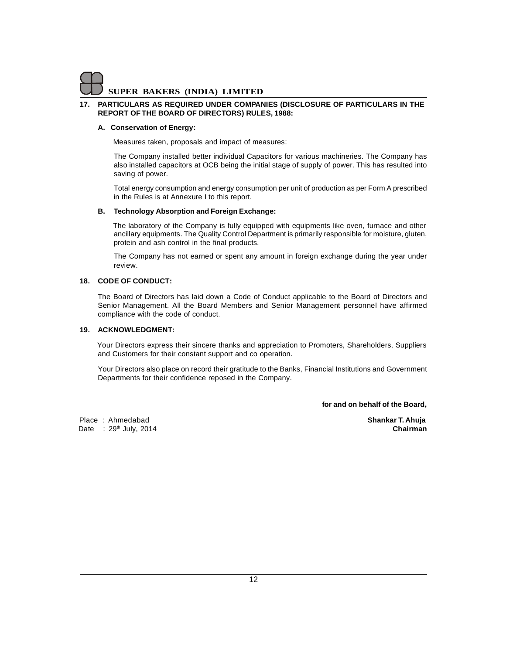#### **17. PARTICULARS AS REQUIRED UNDER COMPANIES (DISCLOSURE OF PARTICULARS IN THE REPORT OF THE BOARD OF DIRECTORS) RULES, 1988:**

#### **A. Conservation of Energy:**

Measures taken, proposals and impact of measures:

The Company installed better individual Capacitors for various machineries. The Company has also installed capacitors at OCB being the initial stage of supply of power. This has resulted into saving of power.

Total energy consumption and energy consumption per unit of production as per Form A prescribed in the Rules is at Annexure I to this report.

#### **B. Technology Absorption and Foreign Exchange:**

The laboratory of the Company is fully equipped with equipments like oven, furnace and other ancillary equipments. The Quality Control Department is primarily responsible for moisture, gluten, protein and ash control in the final products.

The Company has not earned or spent any amount in foreign exchange during the year under review.

#### **18. CODE OF CONDUCT:**

The Board of Directors has laid down a Code of Conduct applicable to the Board of Directors and Senior Management. All the Board Members and Senior Management personnel have affirmed compliance with the code of conduct.

#### **19. ACKNOWLEDGMENT:**

Your Directors express their sincere thanks and appreciation to Promoters, Shareholders, Suppliers and Customers for their constant support and co operation.

Your Directors also place on record their gratitude to the Banks, Financial Institutions and Government Departments for their confidence reposed in the Company.

**for and on behalf of the Board,**

Place : Ahmedabad **Shankar T. Ahuja** Date : 29<sup>th</sup> July, 2014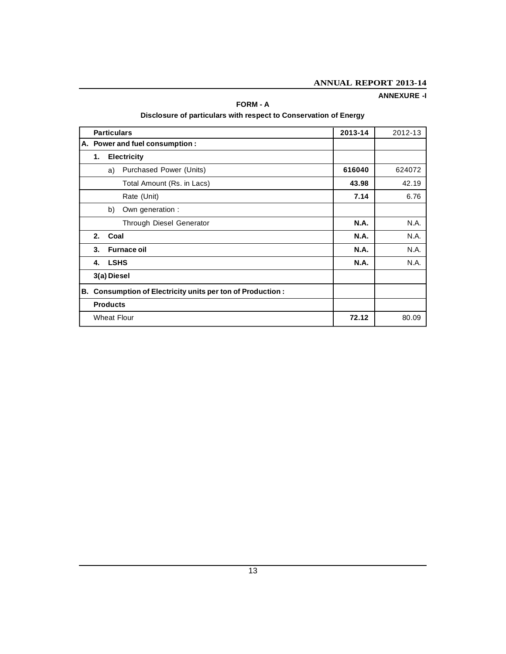# **ANNUAL REPORT 2013-14**

# **ANNEXURE -I**

# **FORM - A**

|  |  |  | Disclosure of particulars with respect to Conservation of Energy |  |
|--|--|--|------------------------------------------------------------------|--|
|--|--|--|------------------------------------------------------------------|--|

|    | <b>Particulars</b>                                             |                                |             | 2012-13 |
|----|----------------------------------------------------------------|--------------------------------|-------------|---------|
|    |                                                                | A. Power and fuel consumption: |             |         |
|    | 1.                                                             | <b>Electricity</b>             |             |         |
|    |                                                                | Purchased Power (Units)<br>a)  | 616040      | 624072  |
|    |                                                                | Total Amount (Rs. in Lacs)     | 43.98       | 42.19   |
|    |                                                                | Rate (Unit)                    | 7.14        | 6.76    |
|    |                                                                | b)<br>Own generation :         |             |         |
|    |                                                                | Through Diesel Generator       | <b>N.A.</b> | N.A.    |
|    | 2.                                                             | Coal                           | <b>N.A.</b> | N.A.    |
|    | 3.                                                             | <b>Furnace oil</b>             | <b>N.A.</b> | N.A.    |
|    | 4.                                                             | LSHS                           | <b>N.A.</b> | N.A.    |
|    | 3(a) Diesel                                                    |                                |             |         |
| В. | <b>Consumption of Electricity units per ton of Production:</b> |                                |             |         |
|    | <b>Products</b>                                                |                                |             |         |
|    | <b>Wheat Flour</b><br>72.12                                    |                                |             | 80.09   |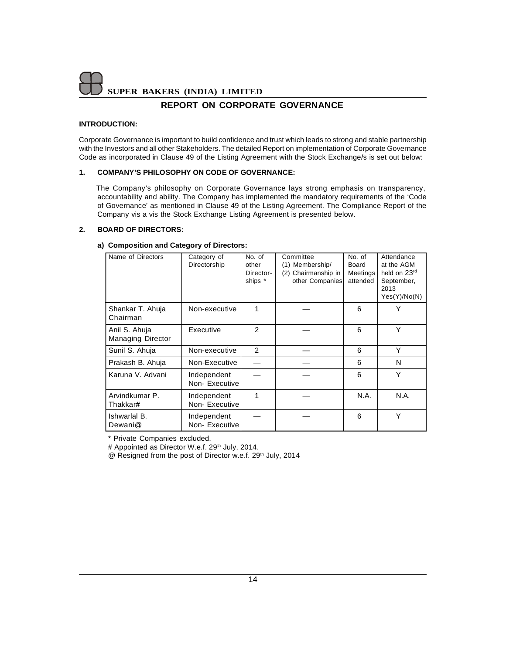# **REPORT ON CORPORATE GOVERNANCE**

#### **INTRODUCTION:**

Corporate Governance is important to build confidence and trust which leads to strong and stable partnership with the Investors and all other Stakeholders. The detailed Report on implementation of Corporate Governance Code as incorporated in Clause 49 of the Listing Agreement with the Stock Exchange/s is set out below:

#### **1. COMPANY'S PHILOSOPHY ON CODE OF GOVERNANCE:**

The Company's philosophy on Corporate Governance lays strong emphasis on transparency, accountability and ability. The Company has implemented the mandatory requirements of the 'Code of Governance' as mentioned in Clause 49 of the Listing Agreement. The Compliance Report of the Company vis a vis the Stock Exchange Listing Agreement is presented below.

#### **2. BOARD OF DIRECTORS:**

| Name of Directors                  | Category of<br>Directorship   | No. of<br>other<br>Director-<br>ships * | Committee<br>(1) Membership/<br>(2) Chairmanship in<br>other Companies | No. of<br>Board<br>Meetings<br>attended | Attendance<br>at the AGM<br>held on 23rd<br>September,<br>2013<br>Yes(Y)/No(N) |
|------------------------------------|-------------------------------|-----------------------------------------|------------------------------------------------------------------------|-----------------------------------------|--------------------------------------------------------------------------------|
| Shankar T. Ahuja<br>Chairman       | Non-executive                 | 1                                       |                                                                        | 6                                       | Υ                                                                              |
| Anil S. Ahuja<br>Managing Director | Executive                     | $\mathfrak{p}$                          |                                                                        | 6                                       | Υ                                                                              |
| Sunil S. Ahuja                     | Non-executive                 | 2                                       |                                                                        | 6                                       | Υ                                                                              |
| Prakash B. Ahuja                   | Non-Executive                 |                                         |                                                                        | 6                                       | N                                                                              |
| Karuna V. Advani                   | Independent<br>Non- Executive |                                         |                                                                        | 6                                       | Y                                                                              |
| Arvindkumar P.<br>Thakkar#         | Independent<br>Non- Executive | 1                                       |                                                                        | N.A.                                    | N.A.                                                                           |
| Ishwarlal B.<br>Dewani@            | Independent<br>Non- Executive |                                         |                                                                        | 6                                       | Υ                                                                              |

# **a) Composition and Category of Directors:**

\* Private Companies excluded.

# Appointed as Director W.e.f. 29<sup>th</sup> July, 2014.

 $@$  Resigned from the post of Director w.e.f. 29<sup>th</sup> July, 2014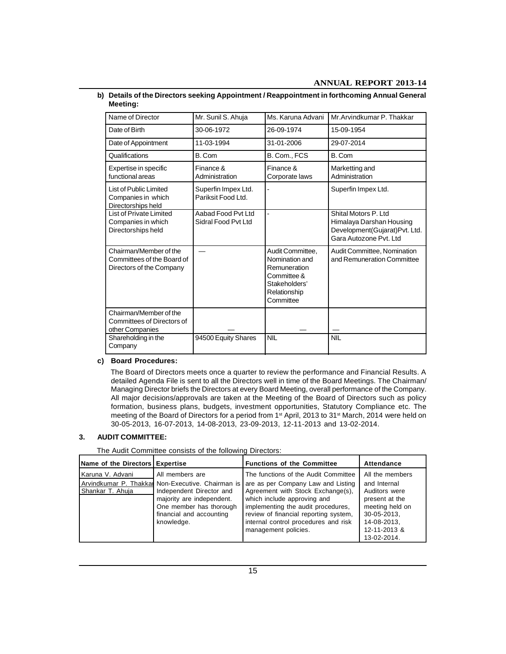| b) Details of the Directors seeking Appointment / Reappointment in forthcoming Annual General |
|-----------------------------------------------------------------------------------------------|
| Meeting:                                                                                      |

| Name of Director                                                                 | Mr. Sunil S. Ahuja                        | Ms. Karuna Advani                                                                                               | Mr.Arvindkumar P. Thakkar                                                                                   |
|----------------------------------------------------------------------------------|-------------------------------------------|-----------------------------------------------------------------------------------------------------------------|-------------------------------------------------------------------------------------------------------------|
| Date of Birth                                                                    | 30-06-1972                                | 26-09-1974                                                                                                      | 15-09-1954                                                                                                  |
| Date of Appointment                                                              | 11-03-1994                                | 31-01-2006                                                                                                      | 29-07-2014                                                                                                  |
| Qualifications                                                                   | B. Com                                    | B. Com., FCS                                                                                                    | B. Com                                                                                                      |
| Expertise in specific<br>functional areas                                        | Finance &<br>Administration               | Finance &<br>Corporate laws                                                                                     | Marketting and<br>Administration                                                                            |
| List of Public Limited<br>Companies in which<br>Directorships held               | Superfin Impex Ltd.<br>Pariksit Food Ltd. |                                                                                                                 | Superfin Impex Ltd.                                                                                         |
| List of Private Limited<br>Companies in which<br>Directorships held              | Aabad Food Pvt Ltd<br>Sidral Food Pvt Ltd | $\overline{a}$                                                                                                  | Shital Motors P. Ltd<br>Himalaya Darshan Housing<br>Development(Gujarat)Pvt. Ltd.<br>Gara Autozone Pvt. Ltd |
| Chairman/Member of the<br>Committees of the Board of<br>Directors of the Company |                                           | Audit Committee,<br>Nomination and<br>Remuneration<br>Committee &<br>Stakeholders'<br>Relationship<br>Committee | Audit Committee, Nomination<br>and Remuneration Committee                                                   |
| Chairman/Member of the<br>Committees of Directors of<br>other Companies          |                                           |                                                                                                                 |                                                                                                             |
| Shareholding in the<br>Company                                                   | 94500 Equity Shares                       | <b>NIL</b>                                                                                                      | <b>NIL</b>                                                                                                  |

#### **c) Board Procedures:**

The Board of Directors meets once a quarter to review the performance and Financial Results. A detailed Agenda File is sent to all the Directors well in time of the Board Meetings. The Chairman/ Managing Director briefs the Directors at every Board Meeting, overall performance of the Company. All major decisions/approvals are taken at the Meeting of the Board of Directors such as policy formation, business plans, budgets, investment opportunities, Statutory Compliance etc. The meeting of the Board of Directors for a period from 1<sup>st</sup> April, 2013 to 31<sup>st</sup> March, 2014 were held on 30-05-2013, 16-07-2013, 14-08-2013, 23-09-2013, 12-11-2013 and 13-02-2014.

#### **3. AUDIT COMMITTEE:**

The Audit Committee consists of the following Directors:

| Name of the Directors Expertise      |                                                                                                                                                                                                    | <b>Functions of the Committee</b>                                                                                                                                                                                                                                                             | <b>Attendance</b>                                                                                                                                  |
|--------------------------------------|----------------------------------------------------------------------------------------------------------------------------------------------------------------------------------------------------|-----------------------------------------------------------------------------------------------------------------------------------------------------------------------------------------------------------------------------------------------------------------------------------------------|----------------------------------------------------------------------------------------------------------------------------------------------------|
| Karuna V. Advani<br>Shankar T. Ahuja | All members are<br>Arvindkumar P. Thakkar Non-Executive. Chairman is<br>Independent Director and<br>majority are independent.<br>One member has thorough<br>financial and accounting<br>knowledge. | The functions of the Audit Committee<br>are as per Company Law and Listing<br>Agreement with Stock Exchange(s),<br>which include approving and<br>implementing the audit procedures.<br>review of financial reporting system,<br>internal control procedures and risk<br>management policies. | All the members<br>and Internal<br>Auditors were<br>present at the<br>meeting held on<br>30-05-2013.<br>14-08-2013.<br>12-11-2013 &<br>13-02-2014. |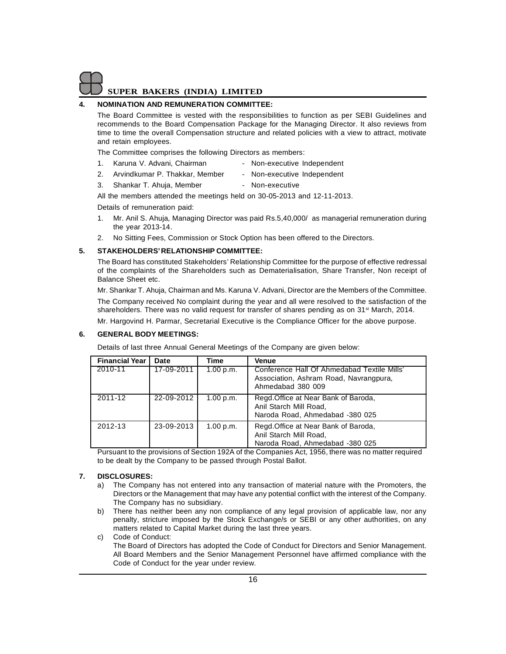#### **4. NOMINATION AND REMUNERATION COMMITTEE:**

The Board Committee is vested with the responsibilities to function as per SEBI Guidelines and recommends to the Board Compensation Package for the Managing Director. It also reviews from time to time the overall Compensation structure and related policies with a view to attract, motivate and retain employees.

The Committee comprises the following Directors as members:

- 1. Karuna V. Advani, Chairman Non-executive Independent
- 2. Arvindkumar P. Thakkar, Member Non-executive Independent
- 3. Shankar T. Ahuja, Member Non-executive

All the members attended the meetings held on 30-05-2013 and 12-11-2013.

Details of remuneration paid:

- 1. Mr. Anil S. Ahuja, Managing Director was paid Rs.5,40,000/ as managerial remuneration during the year 2013-14.
- 2. No Sitting Fees, Commission or Stock Option has been offered to the Directors.

#### **5. STAKEHOLDERS'RELATIONSHIP COMMITTEE:**

The Board has constituted Stakeholders' Relationship Committee for the purpose of effective redressal of the complaints of the Shareholders such as Dematerialisation, Share Transfer, Non receipt of Balance Sheet etc.

Mr. Shankar T. Ahuja, Chairman and Ms. Karuna V. Advani, Director are the Members of the Committee. The Company received No complaint during the year and all were resolved to the satisfaction of the shareholders. There was no valid request for transfer of shares pending as on  $31<sup>st</sup>$  March, 2014.

Mr. Hargovind H. Parmar, Secretarial Executive is the Compliance Officer for the above purpose.

#### **6. GENERAL BODY MEETINGS:**

Details of last three Annual General Meetings of the Company are given below:

| <b>Financial Year</b> | Date       | Time      | <b>Venue</b>                                                                                               |
|-----------------------|------------|-----------|------------------------------------------------------------------------------------------------------------|
| 2010-11               | 17-09-2011 | 1.00 p.m. | Conference Hall Of Ahmedabad Textile Mills'<br>Association, Ashram Road, Navrangpura,<br>Ahmedabad 380 009 |
| 2011-12               | 22-09-2012 | 1.00 p.m. | Regd. Office at Near Bank of Baroda,<br>Anil Starch Mill Road,<br>Naroda Road, Ahmedabad -380 025          |
| 2012-13               | 23-09-2013 | 1.00 p.m. | Regd. Office at Near Bank of Baroda,<br>Anil Starch Mill Road,<br>Naroda Road, Ahmedabad -380 025          |

Pursuant to the provisions of Section 192A of the Companies Act, 1956, there was no matter required to be dealt by the Company to be passed through Postal Ballot.

#### **7. DISCLOSURES:**

- a) The Company has not entered into any transaction of material nature with the Promoters, the Directors or the Management that may have any potential conflict with the interest of the Company. The Company has no subsidiary.
- b) There has neither been any non compliance of any legal provision of applicable law, nor any penalty, stricture imposed by the Stock Exchange/s or SEBI or any other authorities, on any matters related to Capital Market during the last three years.

c) Code of Conduct:

The Board of Directors has adopted the Code of Conduct for Directors and Senior Management. All Board Members and the Senior Management Personnel have affirmed compliance with the Code of Conduct for the year under review.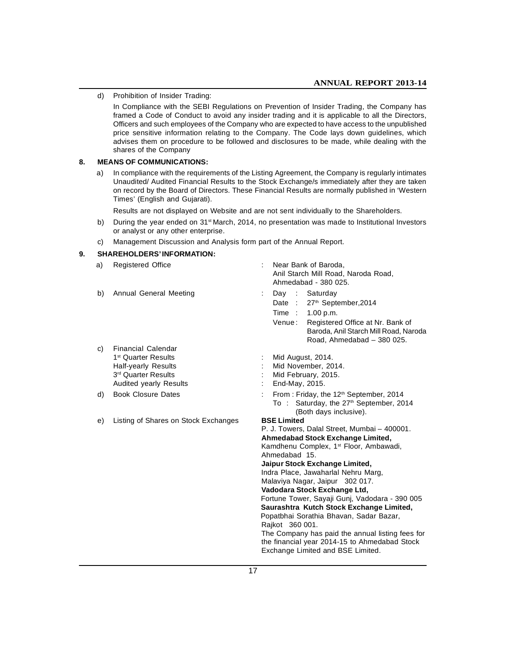d) Prohibition of Insider Trading:

In Compliance with the SEBI Regulations on Prevention of Insider Trading, the Company has framed a Code of Conduct to avoid any insider trading and it is applicable to all the Directors, Officers and such employees of the Company who are expected to have access to the unpublished price sensitive information relating to the Company. The Code lays down guidelines, which advises them on procedure to be followed and disclosures to be made, while dealing with the shares of the Company

#### **8. MEANS OF COMMUNICATIONS:**

a) In compliance with the requirements of the Listing Agreement, the Company is regularly intimates Unaudited/ Audited Financial Results to the Stock Exchange/s immediately after they are taken on record by the Board of Directors. These Financial Results are normally published in 'Western Times' (English and Gujarati).

Results are not displayed on Website and are not sent individually to the Shareholders.

- b) During the year ended on 31<sup>st</sup> March, 2014, no presentation was made to Institutional Investors or analyst or any other enterprise.
- c) Management Discussion and Analysis form part of the Annual Report.

#### **9. SHAREHOLDERS'INFORMATION:**

| a) | <b>Registered Office</b>                                                                                                                    | Near Bank of Baroda,<br>Anil Starch Mill Road, Naroda Road,<br>Ahmedabad - 380 025.                                                                                                                                                                                                                                                                                                                                                                                                                                                                                                                                              |
|----|---------------------------------------------------------------------------------------------------------------------------------------------|----------------------------------------------------------------------------------------------------------------------------------------------------------------------------------------------------------------------------------------------------------------------------------------------------------------------------------------------------------------------------------------------------------------------------------------------------------------------------------------------------------------------------------------------------------------------------------------------------------------------------------|
| b) | Annual General Meeting                                                                                                                      | Day : Saturday<br>27 <sup>th</sup> September, 2014<br>Date :<br>Time:<br>1.00 p.m.<br>Venue:<br>Registered Office at Nr. Bank of<br>Baroda, Anil Starch Mill Road, Naroda<br>Road, Ahmedabad - 380 025.                                                                                                                                                                                                                                                                                                                                                                                                                          |
| C) | <b>Financial Calendar</b><br>1 <sup>st</sup> Quarter Results<br>Half-yearly Results<br>3rd Quarter Results<br><b>Audited yearly Results</b> | Mid August, 2014.<br>Mid November, 2014.<br>Mid February, 2015.<br>End-May, 2015.                                                                                                                                                                                                                                                                                                                                                                                                                                                                                                                                                |
| d) | <b>Book Closure Dates</b>                                                                                                                   | From: Friday, the 12 <sup>th</sup> September, 2014<br>To: Saturday, the 27 <sup>th</sup> September, 2014<br>(Both days inclusive).                                                                                                                                                                                                                                                                                                                                                                                                                                                                                               |
| e) | Listing of Shares on Stock Exchanges                                                                                                        | <b>BSE Limited</b><br>P. J. Towers, Dalal Street, Mumbai - 400001.<br>Ahmedabad Stock Exchange Limited,<br>Kamdhenu Complex, 1 <sup>st</sup> Floor, Ambawadi,<br>Ahmedabad 15.<br>Jaipur Stock Exchange Limited,<br>Indra Place, Jawaharlal Nehru Marg,<br>Malaviya Nagar, Jaipur 302 017.<br>Vadodara Stock Exchange Ltd,<br>Fortune Tower, Sayaji Gunj, Vadodara - 390 005<br>Saurashtra Kutch Stock Exchange Limited,<br>Popatbhai Sorathia Bhavan, Sadar Bazar,<br>Rajkot 360 001.<br>The Company has paid the annual listing fees for<br>the financial year 2014-15 to Ahmedabad Stock<br>Exchange Limited and BSE Limited. |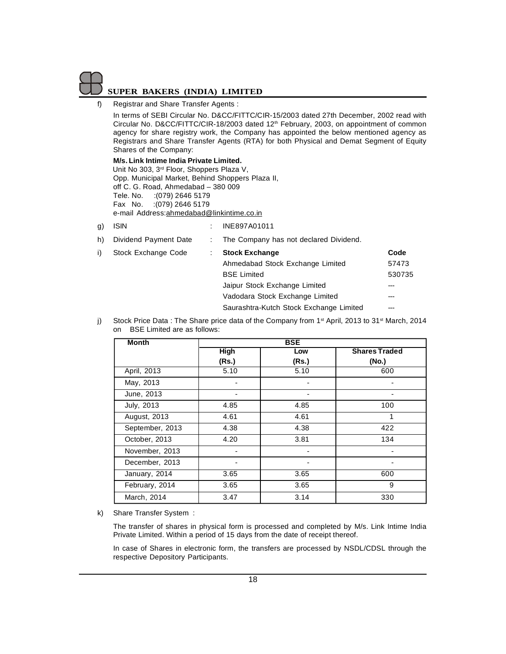Registrar and Share Transfer Agents :

In terms of SEBI Circular No. D&CC/FITTC/CIR-15/2003 dated 27th December, 2002 read with Circular No. D&CC/FITTC/CIR-18/2003 dated 12<sup>th</sup> February, 2003, on appointment of common agency for share registry work, the Company has appointed the below mentioned agency as Registrars and Share Transfer Agents (RTA) for both Physical and Demat Segment of Equity Shares of the Company:

**M/s. Link Intime India Private Limited.** Unit No 303, 3<sup>rd</sup> Floor, Shoppers Plaza V, Opp. Municipal Market, Behind Shoppers Plaza II, off C. G. Road, Ahmedabad – 380 009 Tele. No. :(079) 2646 5179 Fax No. :(079) 2646 5179 e-mail Address:ahmedabad@linkintime.co.in

g) ISIN : INE897A01011

| h) | Dividend Payment Date                        | t in | The Company has not declared Dividend.  |        |
|----|----------------------------------------------|------|-----------------------------------------|--------|
| i) | Stock Exchange Code<br><b>Stock Exchange</b> |      |                                         | Code   |
|    |                                              |      | Ahmedabad Stock Exchange Limited        | 57473  |
|    |                                              |      | <b>BSE Limited</b>                      | 530735 |
|    |                                              |      | Jaipur Stock Exchange Limited           |        |
|    |                                              |      | Vadodara Stock Exchange Limited         | ---    |
|    |                                              |      | Saurashtra-Kutch Stock Exchange Limited |        |

j) Stock Price Data : The Share price data of the Company from 1<sup>st</sup> April, 2013 to 31<sup>st</sup> March, 2014 on BSE Limited are as follows:

| <b>Month</b>    |       |       |                      |
|-----------------|-------|-------|----------------------|
|                 | High  | Low   | <b>Shares Traded</b> |
|                 | (Rs.) | (Rs.) | (No.)                |
| April, 2013     | 5.10  | 5.10  | 600                  |
| May, 2013       |       |       |                      |
| June, 2013      |       |       | ٠                    |
| July, 2013      | 4.85  | 4.85  | 100                  |
| August, 2013    | 4.61  | 4.61  | 1                    |
| September, 2013 | 4.38  | 4.38  | 422                  |
| October, 2013   | 4.20  | 3.81  | 134                  |
| November, 2013  |       |       |                      |
| December, 2013  |       |       |                      |
| January, 2014   | 3.65  | 3.65  | 600                  |
| February, 2014  | 3.65  | 3.65  | 9                    |
| March, 2014     | 3.47  | 3.14  | 330                  |

k) Share Transfer System :

The transfer of shares in physical form is processed and completed by M/s. Link Intime India Private Limited. Within a period of 15 days from the date of receipt thereof.

In case of Shares in electronic form, the transfers are processed by NSDL/CDSL through the respective Depository Participants.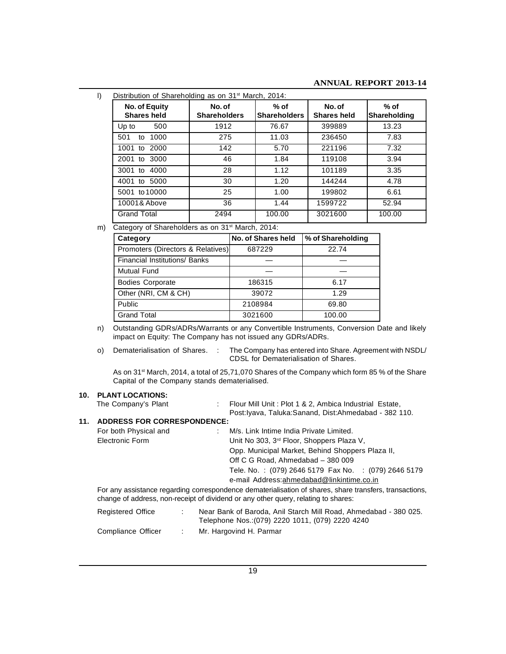#### **ANNUAL REPORT 2013-14**

| <b>No. of Equity</b><br>Shares held | No. of<br><b>Shareholders</b> | $%$ of<br><b>Shareholders</b> | No. of<br><b>Shares held</b> | $%$ of<br>Shareholding |
|-------------------------------------|-------------------------------|-------------------------------|------------------------------|------------------------|
| 500<br>Up to                        | 1912                          | 76.67                         | 399889                       | 13.23                  |
| 501<br>1000<br>to                   | 275                           | 11.03                         | 236450                       | 7.83                   |
| 2000<br>1001<br>to                  | 142                           | 5.70                          | 221196                       | 7.32                   |
| 3000<br>2001 to                     | 46                            | 1.84                          | 119108                       | 3.94                   |
| 3001 to 4000                        | 28                            | 1.12                          | 101189                       | 3.35                   |
| 4001 to 5000                        | 30                            | 1.20                          | 144244                       | 4.78                   |
| 5001 to 10000                       | 25                            | 1.00                          | 199802                       | 6.61                   |
| 10001& Above                        | 36                            | 1.44                          | 1599722                      | 52.94                  |
| <b>Grand Total</b>                  | 2494                          | 100.00                        | 3021600                      | 100.00                 |

#### m) Category of Shareholders as on 31<sup>st</sup> March, 2014:

| Category                          | No. of Shares held | % of Shareholding |
|-----------------------------------|--------------------|-------------------|
| Promoters (Directors & Relatives) | 687229             | 22.74             |
| Financial Institutions/ Banks     |                    |                   |
| <b>Mutual Fund</b>                |                    |                   |
| <b>Bodies Corporate</b>           | 186315             | 6.17              |
| Other (NRI, CM & CH)              | 39072              | 1.29              |
| Public                            | 2108984            | 69.80             |
| <b>Grand Total</b>                | 3021600            | 100.00            |

n) Outstanding GDRs/ADRs/Warrants or any Convertible Instruments, Conversion Date and likely impact on Equity: The Company has not issued any GDRs/ADRs.

o) Dematerialisation of Shares. : The Company has entered into Share. Agreement with NSDL/ CDSL for Dematerialisation of Shares.

As on 31<sup>st</sup> March, 2014, a total of 25,71,070 Shares of the Company which form 85 % of the Share Capital of the Company stands dematerialised.

# **10. PLANT LOCATIONS:**

#### : Flour Mill Unit : Plot 1 & 2, Ambica Industrial Estate, Post:Iyava, Taluka:Sanand, Dist:Ahmedabad - 382 110.

# **11. ADDRESS FOR CORRESPONDENCE:**

| For both Physical and | M/s. Link Intime India Private Limited.<br>$\mathbb{R}^n$                                              |
|-----------------------|--------------------------------------------------------------------------------------------------------|
| Electronic Form       | Unit No 303, 3 <sup>rd</sup> Floor, Shoppers Plaza V,                                                  |
|                       | Opp. Municipal Market, Behind Shoppers Plaza II,                                                       |
|                       | Off C G Road, Ahmedabad - 380 009                                                                      |
|                       | Tele. No.: (079) 2646 5179 Fax No.: (079) 2646 5179                                                    |
|                       | e-mail Address: ahmedabad@linkintime.co.in                                                             |
|                       | For any assistance regarding correspondence dematerialisation of shares, share transfers, transactions |

egarding correspondence dematerialisation of shares, share transfers, transactions, change of address, non-receipt of dividend or any other query, relating to shares:

| <b>Registered Office</b> | Near Bank of Baroda, Anil Starch Mill Road, Ahmedabad - 380 025. |
|--------------------------|------------------------------------------------------------------|
|                          | Telephone Nos.: (079) 2220 1011, (079) 2220 4240                 |
| Compliance Officer       | Mr. Hargovind H. Parmar                                          |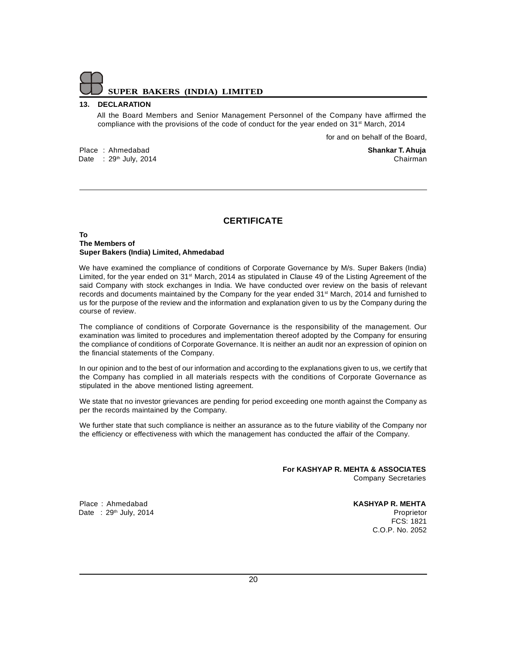#### **13. DECLARATION**

All the Board Members and Senior Management Personnel of the Company have affirmed the compliance with the provisions of the code of conduct for the year ended on  $31<sup>st</sup>$  March, 2014

for and on behalf of the Board,

Place : Ahmedabad **Shankar T. Ahuja** Date the 29<sup>th</sup> July, 2014 **Chairman** Chairman Chairman Chairman Chairman Chairman Chairman Chairman Chairman Chairman Chairman Chairman Chairman Chairman Chairman Chairman Chairman Chairman Chairman Chairman Chairman Chai

# **CERTIFICATE**

#### **To The Members of Super Bakers (India) Limited, Ahmedabad**

We have examined the compliance of conditions of Corporate Governance by M/s. Super Bakers (India) Limited, for the year ended on 31<sup>st</sup> March, 2014 as stipulated in Clause 49 of the Listing Agreement of the said Company with stock exchanges in India. We have conducted over review on the basis of relevant records and documents maintained by the Company for the year ended 31<sup>st</sup> March, 2014 and furnished to us for the purpose of the review and the information and explanation given to us by the Company during the course of review.

The compliance of conditions of Corporate Governance is the responsibility of the management. Our examination was limited to procedures and implementation thereof adopted by the Company for ensuring the compliance of conditions of Corporate Governance. It is neither an audit nor an expression of opinion on the financial statements of the Company.

In our opinion and to the best of our information and according to the explanations given to us, we certify that the Company has complied in all materials respects with the conditions of Corporate Governance as stipulated in the above mentioned listing agreement.

We state that no investor grievances are pending for period exceeding one month against the Company as per the records maintained by the Company.

We further state that such compliance is neither an assurance as to the future viability of the Company nor the efficiency or effectiveness with which the management has conducted the affair of the Company.

> **For KASHYAP R. MEHTA & ASSOCIATES** Company Secretaries

Place : Ahmedabad **KASHYAP R. MEHTA** Date : 29<sup>th</sup> July, 2014 **Proprietor Date : 29<sup>th</sup> July, 2014** FCS: 1821 C.O.P. No. 2052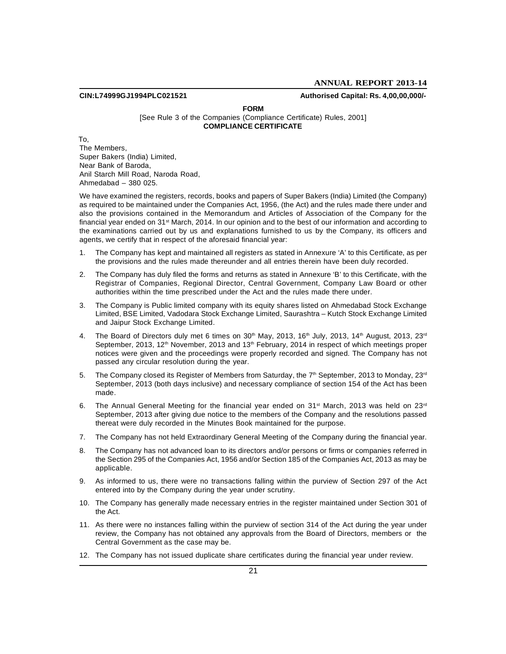**CIN:L74999GJ1994PLC021521 Authorised Capital: Rs. 4,00,00,000/-**

**FORM**

[See Rule 3 of the Companies (Compliance Certificate) Rules, 2001] **COMPLIANCE CERTIFICATE**

To, The Members, Super Bakers (India) Limited, Near Bank of Baroda, Anil Starch Mill Road, Naroda Road, Ahmedabad – 380 025.

We have examined the registers, records, books and papers of Super Bakers (India) Limited (the Company) as required to be maintained under the Companies Act, 1956, (the Act) and the rules made there under and also the provisions contained in the Memorandum and Articles of Association of the Company for the financial year ended on 31<sup>st</sup> March, 2014. In our opinion and to the best of our information and according to the examinations carried out by us and explanations furnished to us by the Company, its officers and agents, we certify that in respect of the aforesaid financial year:

- 1. The Company has kept and maintained all registers as stated in Annexure 'A' to this Certificate, as per the provisions and the rules made thereunder and all entries therein have been duly recorded.
- 2. The Company has duly filed the forms and returns as stated in Annexure 'B' to this Certificate, with the Registrar of Companies, Regional Director, Central Government, Company Law Board or other authorities within the time prescribed under the Act and the rules made there under.
- 3. The Company is Public limited company with its equity shares listed on Ahmedabad Stock Exchange Limited, BSE Limited, Vadodara Stock Exchange Limited, Saurashtra – Kutch Stock Exchange Limited and Jaipur Stock Exchange Limited.
- 4. The Board of Directors duly met 6 times on 30<sup>th</sup> May, 2013, 16<sup>th</sup> July, 2013, 14<sup>th</sup> August, 2013, 23<sup>rd</sup> September, 2013, 12<sup>th</sup> November, 2013 and 13<sup>th</sup> February, 2014 in respect of which meetings proper notices were given and the proceedings were properly recorded and signed. The Company has not passed any circular resolution during the year.
- 5. The Company closed its Register of Members from Saturday, the  $7<sup>th</sup>$  September, 2013 to Monday, 23<sup>rd</sup> September, 2013 (both days inclusive) and necessary compliance of section 154 of the Act has been made.
- 6. The Annual General Meeting for the financial year ended on 31<sup>st</sup> March, 2013 was held on 23<sup>rd</sup> September, 2013 after giving due notice to the members of the Company and the resolutions passed thereat were duly recorded in the Minutes Book maintained for the purpose.
- 7. The Company has not held Extraordinary General Meeting of the Company during the financial year.
- 8. The Company has not advanced loan to its directors and/or persons or firms or companies referred in the Section 295 of the Companies Act, 1956 and/or Section 185 of the Companies Act, 2013 as may be applicable.
- 9. As informed to us, there were no transactions falling within the purview of Section 297 of the Act entered into by the Company during the year under scrutiny.
- 10. The Company has generally made necessary entries in the register maintained under Section 301 of the Act.
- 11. As there were no instances falling within the purview of section 314 of the Act during the year under review, the Company has not obtained any approvals from the Board of Directors, members or the Central Government as the case may be.
- 12. The Company has not issued duplicate share certificates during the financial year under review.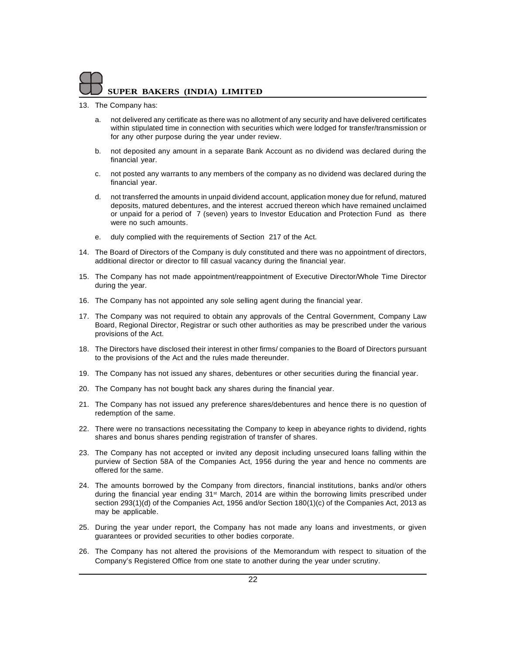- 13. The Company has:
	- a. not delivered any certificate as there was no allotment of any security and have delivered certificates within stipulated time in connection with securities which were lodged for transfer/transmission or for any other purpose during the year under review.
	- b. not deposited any amount in a separate Bank Account as no dividend was declared during the financial year.
	- c. not posted any warrants to any members of the company as no dividend was declared during the financial year.
	- d. not transferred the amounts in unpaid dividend account, application money due for refund, matured deposits, matured debentures, and the interest accrued thereon which have remained unclaimed or unpaid for a period of 7 (seven) years to Investor Education and Protection Fund as there were no such amounts.
	- e. duly complied with the requirements of Section 217 of the Act.
- 14. The Board of Directors of the Company is duly constituted and there was no appointment of directors, additional director or director to fill casual vacancy during the financial year.
- 15. The Company has not made appointment/reappointment of Executive Director/Whole Time Director during the year.
- 16. The Company has not appointed any sole selling agent during the financial year.
- 17. The Company was not required to obtain any approvals of the Central Government, Company Law Board, Regional Director, Registrar or such other authorities as may be prescribed under the various provisions of the Act.
- 18. The Directors have disclosed their interest in other firms/ companies to the Board of Directors pursuant to the provisions of the Act and the rules made thereunder.
- 19. The Company has not issued any shares, debentures or other securities during the financial year.
- 20. The Company has not bought back any shares during the financial year.
- 21. The Company has not issued any preference shares/debentures and hence there is no question of redemption of the same.
- 22. There were no transactions necessitating the Company to keep in abeyance rights to dividend, rights shares and bonus shares pending registration of transfer of shares.
- 23. The Company has not accepted or invited any deposit including unsecured loans falling within the purview of Section 58A of the Companies Act, 1956 during the year and hence no comments are offered for the same.
- 24. The amounts borrowed by the Company from directors, financial institutions, banks and/or others during the financial year ending 31<sup>st</sup> March, 2014 are within the borrowing limits prescribed under section 293(1)(d) of the Companies Act, 1956 and/or Section 180(1)(c) of the Companies Act, 2013 as may be applicable.
- 25. During the year under report, the Company has not made any loans and investments, or given guarantees or provided securities to other bodies corporate.
- 26. The Company has not altered the provisions of the Memorandum with respect to situation of the Company's Registered Office from one state to another during the year under scrutiny.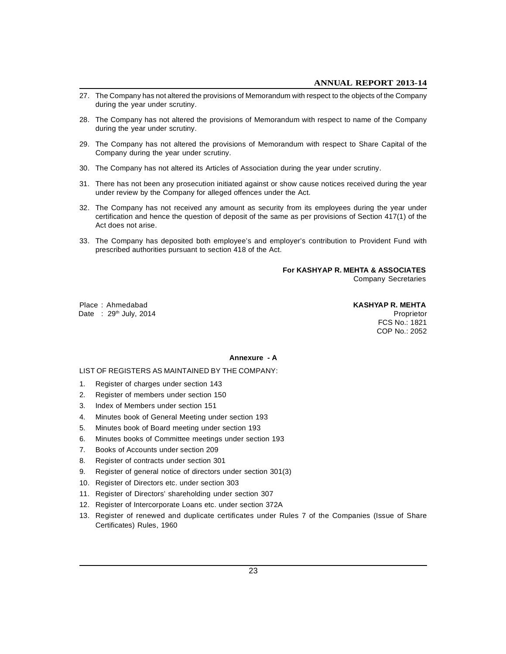- 27. The Company has not altered the provisions of Memorandum with respect to the objects of the Company during the year under scrutiny.
- 28. The Company has not altered the provisions of Memorandum with respect to name of the Company during the year under scrutiny.
- 29. The Company has not altered the provisions of Memorandum with respect to Share Capital of the Company during the year under scrutiny.
- 30. The Company has not altered its Articles of Association during the year under scrutiny.
- 31. There has not been any prosecution initiated against or show cause notices received during the year under review by the Company for alleged offences under the Act.
- 32. The Company has not received any amount as security from its employees during the year under certification and hence the question of deposit of the same as per provisions of Section 417(1) of the Act does not arise.
- 33. The Company has deposited both employee's and employer's contribution to Provident Fund with prescribed authorities pursuant to section 418 of the Act.

**For KASHYAP R. MEHTA & ASSOCIATES**

Company Secretaries

Date : 29<sup>th</sup> July, 2014 **Proprietor Date : 29<sup>th</sup> July, 2014** 

Place : Ahmedabad **KASHYAP R. MEHTA** FCS No.: 1821 COP No.: 2052

#### **Annexure - A**

LIST OF REGISTERS AS MAINTAINED BY THE COMPANY:

- 1. Register of charges under section 143
- 2. Register of members under section 150
- 3. Index of Members under section 151
- 4. Minutes book of General Meeting under section 193
- 5. Minutes book of Board meeting under section 193
- 6. Minutes books of Committee meetings under section 193
- 7. Books of Accounts under section 209
- 8. Register of contracts under section 301
- 9. Register of general notice of directors under section 301(3)
- 10. Register of Directors etc. under section 303
- 11. Register of Directors' shareholding under section 307
- 12. Register of Intercorporate Loans etc. under section 372A
- 13. Register of renewed and duplicate certificates under Rules 7 of the Companies (Issue of Share Certificates) Rules, 1960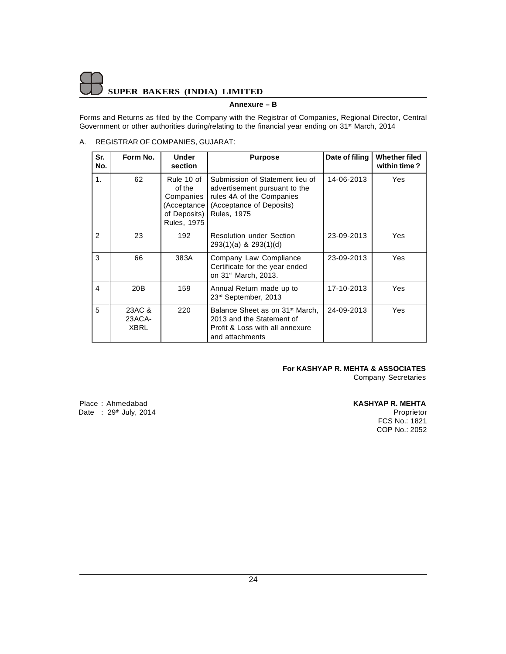

#### **Annexure – B**

Forms and Returns as filed by the Company with the Registrar of Companies, Regional Director, Central Government or other authorities during/relating to the financial year ending on 31<sup>st</sup> March, 2014

#### A. REGISTRAR OF COMPANIES, GUJARAT:

| Sr.<br>No.     | Form No.                        | <b>Under</b><br>section                                                                  | <b>Purpose</b>                                                                                                                                  | Date of filing | <b>Whether filed</b><br>within time? |
|----------------|---------------------------------|------------------------------------------------------------------------------------------|-------------------------------------------------------------------------------------------------------------------------------------------------|----------------|--------------------------------------|
| 1 <sub>1</sub> | 62                              | Rule 10 of<br>of the<br>Companies<br>(Acceptance  <br>of Deposits)<br><b>Rules, 1975</b> | Submission of Statement lieu of<br>advertisement pursuant to the<br>rules 4A of the Companies<br>(Acceptance of Deposits)<br><b>Rules, 1975</b> | 14-06-2013     | <b>Yes</b>                           |
| $\mathcal{P}$  | 23                              | 192                                                                                      | Resolution under Section<br>293(1)(a) & 293(1)(d)                                                                                               | 23-09-2013     | Yes                                  |
| 3              | 66                              | 383A                                                                                     | Company Law Compliance<br>Certificate for the year ended<br>on 31 <sup>st</sup> March, 2013.                                                    | 23-09-2013     | <b>Yes</b>                           |
| 4              | 20 <sub>B</sub>                 | 159                                                                                      | Annual Return made up to<br>23 <sup>rd</sup> September, 2013                                                                                    | 17-10-2013     | <b>Yes</b>                           |
| 5              | 23AC &<br>23ACA-<br><b>XBRL</b> | 220                                                                                      | Balance Sheet as on 31 <sup>st</sup> March,<br>2013 and the Statement of<br>Profit & Loss with all annexure<br>and attachments                  | 24-09-2013     | <b>Yes</b>                           |

# **For KASHYAP R. MEHTA & ASSOCIATES**

Company Secretaries

Place : Ahmedabad **KASHYAP R. MEHTA** Date : 29<sup>th</sup> July, 2014 **Proprietor Proprietor Proprietor** 

FCS No.: 1821 COP No.: 2052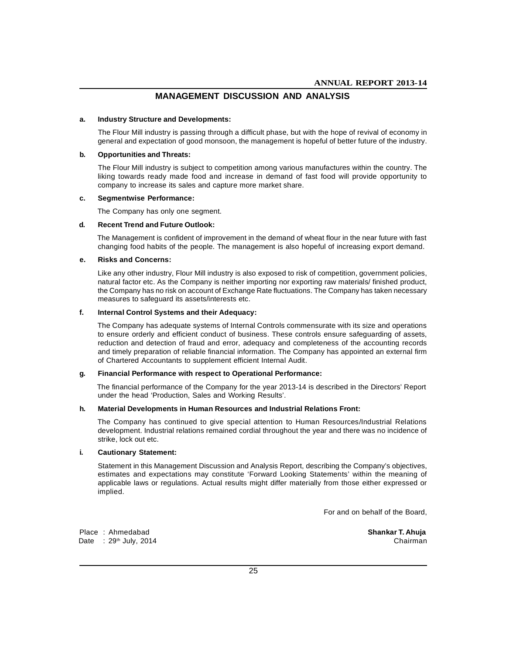# **MANAGEMENT DISCUSSION AND ANALYSIS**

#### **a. Industry Structure and Developments:**

The Flour Mill industry is passing through a difficult phase, but with the hope of revival of economy in general and expectation of good monsoon, the management is hopeful of better future of the industry.

#### **b. Opportunities and Threats:**

The Flour Mill industry is subject to competition among various manufactures within the country. The liking towards ready made food and increase in demand of fast food will provide opportunity to company to increase its sales and capture more market share.

#### **c. Segmentwise Performance:**

The Company has only one segment.

#### **d. Recent Trend and Future Outlook:**

The Management is confident of improvement in the demand of wheat flour in the near future with fast changing food habits of the people. The management is also hopeful of increasing export demand.

#### **e. Risks and Concerns:**

Like any other industry, Flour Mill industry is also exposed to risk of competition, government policies, natural factor etc. As the Company is neither importing nor exporting raw materials/ finished product, the Company has no risk on account of Exchange Rate fluctuations. The Company has taken necessary measures to safeguard its assets/interests etc.

#### **f. Internal Control Systems and their Adequacy:**

The Company has adequate systems of Internal Controls commensurate with its size and operations to ensure orderly and efficient conduct of business. These controls ensure safeguarding of assets, reduction and detection of fraud and error, adequacy and completeness of the accounting records and timely preparation of reliable financial information. The Company has appointed an external firm of Chartered Accountants to supplement efficient Internal Audit.

#### **g. Financial Performance with respect to Operational Performance:**

The financial performance of the Company for the year 2013-14 is described in the Directors' Report under the head 'Production, Sales and Working Results'.

#### **h. Material Developments in Human Resources and Industrial Relations Front:**

The Company has continued to give special attention to Human Resources/Industrial Relations development. Industrial relations remained cordial throughout the year and there was no incidence of strike, lock out etc.

#### **i. Cautionary Statement:**

Statement in this Management Discussion and Analysis Report, describing the Company's objectives, estimates and expectations may constitute 'Forward Looking Statements' within the meaning of applicable laws or regulations. Actual results might differ materially from those either expressed or implied.

For and on behalf of the Board,

Place : Ahmedabad **Shankar T. Ahuja** Date the 29<sup>th</sup> July, 2014 **Chairman**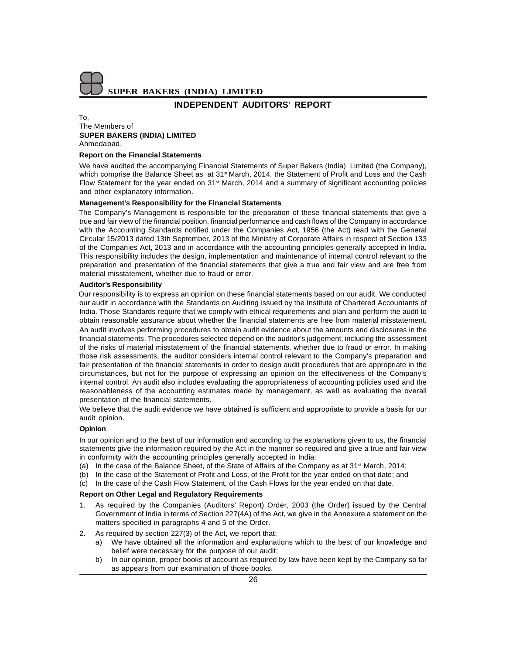# **INDEPENDENT AUDITORS**' **REPORT**

To,

The Members of **SUPER BAKERS (INDIA) LIMITED** Ahmedabad.

#### **Report on the Financial Statements**

We have audited the accompanying Financial Statements of Super Bakers (India) Limited (the Company), which comprise the Balance Sheet as at 31<sup>st</sup> March, 2014, the Statement of Profit and Loss and the Cash Flow Statement for the year ended on  $31<sup>st</sup>$  March, 2014 and a summary of significant accounting policies and other explanatory information.

#### **Management's Responsibility for the Financial Statements**

The Company's Management is responsible for the preparation of these financial statements that give a true and fair view of the financial position, financial performance and cash flows of the Company in accordance with the Accounting Standards notified under the Companies Act, 1956 (the Act) read with the General Circular 15/2013 dated 13th September, 2013 of the Ministry of Corporate Affairs in respect of Section 133 of the Companies Act, 2013 and in accordance with the accounting principles generally accepted in India. This responsibility includes the design, implementation and maintenance of internal control relevant to the preparation and presentation of the financial statements that give a true and fair view and are free from material misstatement, whether due to fraud or error.

#### **Auditor's Responsibility**

Our responsibility is to express an opinion on these financial statements based on our audit. We conducted our audit in accordance with the Standards on Auditing issued by the Institute of Chartered Accountants of India. Those Standards require that we comply with ethical requirements and plan and perform the audit to obtain reasonable assurance about whether the financial statements are free from material misstatement. An audit involves performing procedures to obtain audit evidence about the amounts and disclosures in the financial statements. The procedures selected depend on the auditor's judgement, including the assessment of the risks of material misstatement of the financial statements, whether due to fraud or error. In making those risk assessments, the auditor considers internal control relevant to the Company's preparation and fair presentation of the financial statements in order to design audit procedures that are appropriate in the circumstances, but not for the purpose of expressing an opinion on the effectiveness of the Company's internal control. An audit also includes evaluating the appropriateness of accounting policies used and the reasonableness of the accounting estimates made by management, as well as evaluating the overall presentation of the financial statements.

We believe that the audit evidence we have obtained is sufficient and appropriate to provide a basis for our audit opinion.

#### **Opinion**

In our opinion and to the best of our information and according to the explanations given to us, the financial statements give the information required by the Act in the manner so required and give a true and fair view in conformity with the accounting principles generally accepted in India:

- (a) In the case of the Balance Sheet, of the State of Affairs of the Company as at  $31^{st}$  March, 2014;
- (b) In the case of the Statement of Profit and Loss, of the Profit for the year ended on that date; and
- (c) In the case of the Cash Flow Statement, of the Cash Flows for the year ended on that date.

#### **Report on Other Legal and Regulatory Requirements**

- 1. As required by the Companies (Auditors' Report) Order, 2003 (the Order) issued by the Central Government of India in terms of Section 227(4A) of the Act, we give in the Annexure a statement on the matters specified in paragraphs 4 and 5 of the Order.
- 2. As required by section 227(3) of the Act, we report that:
	- a) We have obtained all the information and explanations which to the best of our knowledge and belief were necessary for the purpose of our audit;
	- b) In our opinion, proper books of account as required by law have been kept by the Company so far as appears from our examination of those books.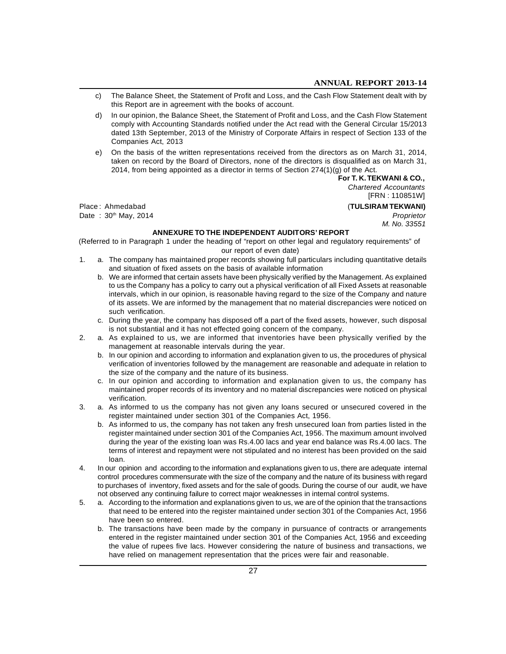- c) The Balance Sheet, the Statement of Profit and Loss, and the Cash Flow Statement dealt with by this Report are in agreement with the books of account.
- d) In our opinion, the Balance Sheet, the Statement of Profit and Loss, and the Cash Flow Statement comply with Accounting Standards notified under the Act read with the General Circular 15/2013 dated 13th September, 2013 of the Ministry of Corporate Affairs in respect of Section 133 of the Companies Act, 2013
- e) On the basis of the written representations received from the directors as on March 31, 2014, taken on record by the Board of Directors, none of the directors is disqualified as on March 31, 2014, from being appointed as a director in terms of Section 274(1)(g) of the Act.

**For T. K.TEKWANI & CO.,** Chartered Accountants [FRN : 110851W]

Place : Ahmedabad (**TULSIRAM TEKWANI)** Date : 30<sup>th</sup> May, 2014 *Proprietor* M. No. 33551

#### **ANNEXURE TO THE INDEPENDENT AUDITORS' REPORT**

(Referred to in Paragraph 1 under the heading of "report on other legal and regulatory requirements" of our report of even date)

- 1. a. The company has maintained proper records showing full particulars including quantitative details and situation of fixed assets on the basis of available information
	- b. We are informed that certain assets have been physically verified by the Management. As explained to us the Company has a policy to carry out a physical verification of all Fixed Assets at reasonable intervals, which in our opinion, is reasonable having regard to the size of the Company and nature of its assets. We are informed by the management that no material discrepancies were noticed on such verification.
	- c. During the year, the company has disposed off a part of the fixed assets, however, such disposal is not substantial and it has not effected going concern of the company.
- 2. a. As explained to us, we are informed that inventories have been physically verified by the management at reasonable intervals during the year.
	- b. In our opinion and according to information and explanation given to us, the procedures of physical verification of inventories followed by the management are reasonable and adequate in relation to the size of the company and the nature of its business.
	- c. In our opinion and according to information and explanation given to us, the company has maintained proper records of its inventory and no material discrepancies were noticed on physical verification.
- 3. a. As informed to us the company has not given any loans secured or unsecured covered in the register maintained under section 301 of the Companies Act, 1956.
	- b. As informed to us, the company has not taken any fresh unsecured loan from parties listed in the register maintained under section 301 of the Companies Act, 1956. The maximum amount involved during the year of the existing loan was Rs.4.00 lacs and year end balance was Rs.4.00 lacs. The terms of interest and repayment were not stipulated and no interest has been provided on the said loan.
- 4. In our opinion and according to the information and explanations given to us, there are adequate internal control procedures commensurate with the size of the company and the nature of its business with regard to purchases of inventory, fixed assets and for the sale of goods. During the course of our audit, we have not observed any continuing failure to correct major weaknesses in internal control systems.
- 5. a. According to the information and explanations given to us, we are of the opinion that the transactions that need to be entered into the register maintained under section 301 of the Companies Act, 1956 have been so entered.
	- b. The transactions have been made by the company in pursuance of contracts or arrangements entered in the register maintained under section 301 of the Companies Act, 1956 and exceeding the value of rupees five lacs. However considering the nature of business and transactions, we have relied on management representation that the prices were fair and reasonable.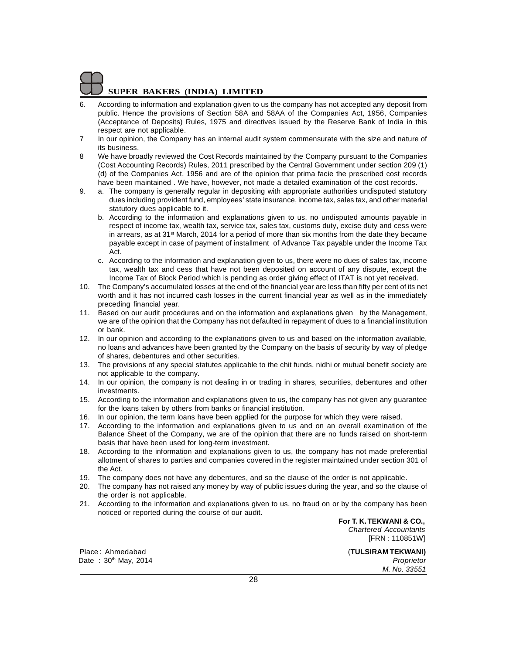- According to information and explanation given to us the company has not accepted any deposit from public. Hence the provisions of Section 58A and 58AA of the Companies Act, 1956, Companies (Acceptance of Deposits) Rules, 1975 and directives issued by the Reserve Bank of India in this respect are not applicable.
- 7 In our opinion, the Company has an internal audit system commensurate with the size and nature of its business.
- 8 We have broadly reviewed the Cost Records maintained by the Company pursuant to the Companies (Cost Accounting Records) Rules, 2011 prescribed by the Central Government under section 209 (1) (d) of the Companies Act, 1956 and are of the opinion that prima facie the prescribed cost records have been maintained . We have, however, not made a detailed examination of the cost records.
- 9. a. The company is generally regular in depositing with appropriate authorities undisputed statutory dues including provident fund, employees' state insurance, income tax, sales tax, and other material statutory dues applicable to it.
	- b. According to the information and explanations given to us, no undisputed amounts payable in respect of income tax, wealth tax, service tax, sales tax, customs duty, excise duty and cess were in arrears, as at 31 $\mathrm{st}$  March, 2014 for a period of more than six months from the date they became payable except in case of payment of installment of Advance Tax payable under the Income Tax Act.
	- c. According to the information and explanation given to us, there were no dues of sales tax, income tax, wealth tax and cess that have not been deposited on account of any dispute, except the Income Tax of Block Period which is pending as order giving effect of ITAT is not yet received.
- 10. The Company's accumulated losses at the end of the financial year are less than fifty per cent of its net worth and it has not incurred cash losses in the current financial year as well as in the immediately preceding financial year.
- 11. Based on our audit procedures and on the information and explanations given by the Management, we are of the opinion that the Company has not defaulted in repayment of dues to a financial institution or bank.
- 12. In our opinion and according to the explanations given to us and based on the information available, no loans and advances have been granted by the Company on the basis of security by way of pledge of shares, debentures and other securities.
- 13. The provisions of any special statutes applicable to the chit funds, nidhi or mutual benefit society are not applicable to the company.
- 14. In our opinion, the company is not dealing in or trading in shares, securities, debentures and other investments.
- 15. According to the information and explanations given to us, the company has not given any guarantee for the loans taken by others from banks or financial institution.
- 16. In our opinion, the term loans have been applied for the purpose for which they were raised.
- 17. According to the information and explanations given to us and on an overall examination of the Balance Sheet of the Company, we are of the opinion that there are no funds raised on short-term basis that have been used for long-term investment.
- 18. According to the information and explanations given to us, the company has not made preferential allotment of shares to parties and companies covered in the register maintained under section 301 of the Act.
- 19. The company does not have any debentures, and so the clause of the order is not applicable.
- 20. The company has not raised any money by way of public issues during the year, and so the clause of the order is not applicable.
- 21. According to the information and explanations given to us, no fraud on or by the company has been noticed or reported during the course of our audit.

**For T. K.TEKWANI & CO.,** Chartered Accountants [FRN : 110851W]

Date: 30<sup>th</sup> May, 2014 **Proprietor Date: 30<sup>th</sup> May, 2014** 

Place : Ahmedabad (**TULSIRAM TEKWANI)** M. No. 33551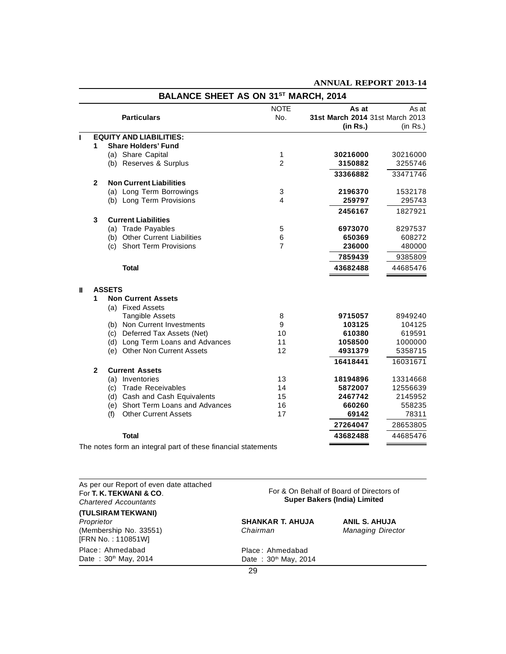# **ANNUAL REPORT 2013-14**

|   |                |                                                               | <b>NOTE</b>    | As at                           | As at    |
|---|----------------|---------------------------------------------------------------|----------------|---------------------------------|----------|
|   |                | <b>Particulars</b>                                            | No.            | 31st March 2014 31st March 2013 |          |
|   |                |                                                               |                | (in Rs.)                        | (in Rs.) |
| г |                | <b>EQUITY AND LIABILITIES:</b>                                |                |                                 |          |
|   | 1              | <b>Share Holders' Fund</b>                                    |                |                                 |          |
|   |                | (a) Share Capital                                             | 1              | 30216000                        | 30216000 |
|   |                | (b) Reserves & Surplus                                        | $\overline{2}$ | 3150882                         | 3255746  |
|   |                |                                                               |                | 33366882                        | 33471746 |
|   | $\mathbf{2}$   | <b>Non Current Liabilities</b>                                |                |                                 |          |
|   |                | (a) Long Term Borrowings                                      | 3              | 2196370                         | 1532178  |
|   |                | (b) Long Term Provisions                                      | 4              | 259797                          | 295743   |
|   |                |                                                               |                | 2456167                         | 1827921  |
|   | 3              | <b>Current Liabilities</b>                                    |                |                                 |          |
|   |                | (a) Trade Payables                                            | 5              | 6973070                         | 8297537  |
|   |                | (b) Other Current Liabilities                                 | 6              | 650369                          | 608272   |
|   |                | (c) Short Term Provisions                                     | $\overline{7}$ | 236000                          | 480000   |
|   |                |                                                               |                | 7859439                         | 9385809  |
|   |                | Total                                                         |                | 43682488                        | 44685476 |
| Ш | <b>ASSETS</b>  |                                                               |                |                                 |          |
|   | 1              | <b>Non Current Assets</b>                                     |                |                                 |          |
|   |                | (a) Fixed Assets                                              |                |                                 |          |
|   |                | <b>Tangible Assets</b>                                        | 8              | 9715057                         | 8949240  |
|   |                | (b) Non Current Investments                                   | 9              | 103125                          | 104125   |
|   |                | (c) Deferred Tax Assets (Net)                                 | 10             | 610380                          | 619591   |
|   |                | (d) Long Term Loans and Advances                              | 11             | 1058500                         | 1000000  |
|   |                | (e) Other Non Current Assets                                  | 12             | 4931379                         | 5358715  |
|   |                |                                                               |                | 16418441                        | 16031671 |
|   | $\overline{2}$ | <b>Current Assets</b>                                         |                |                                 |          |
|   |                | (a) Inventories                                               | 13             | 18194896                        | 13314668 |
|   | (c)            | <b>Trade Receivables</b>                                      | 14             | 5872007                         | 12556639 |
|   |                | (d) Cash and Cash Equivalents                                 | 15             | 2467742                         | 2145952  |
|   |                | (e) Short Term Loans and Advances                             | 16             | 660260                          | 558235   |
|   | (f)            | <b>Other Current Assets</b>                                   | 17             | 69142                           | 78311    |
|   |                |                                                               |                | 27264047                        | 28653805 |
|   |                | Total                                                         |                | 43682488                        | 44685476 |
|   |                | The notes form an integral part of these financial statements |                |                                 |          |

**BALANCE SHEET AS ON ST 31 MARCH, 2014**

| As per our Report of even date attached<br>For T. K. TEKWANI & CO.<br><b>Chartered Accountants</b> | For & On Behalf of Board of Directors of<br><b>Super Bakers (India) Limited</b> |                                           |  |
|----------------------------------------------------------------------------------------------------|---------------------------------------------------------------------------------|-------------------------------------------|--|
| (TULSIRAM TEKWANI)<br>Proprietor<br>(Membership No. 33551)<br>[FRN No.: 110851W]                   | <b>SHANKAR T. AHUJA</b><br>Chairman                                             | ANIL S. AHUJA<br><b>Managing Director</b> |  |
| Place: Ahmedabad<br>Date: $30^{th}$ May, 2014                                                      | Place: Ahmedabad<br>Date: $30^{th}$ May, 2014                                   |                                           |  |
|                                                                                                    | 29                                                                              |                                           |  |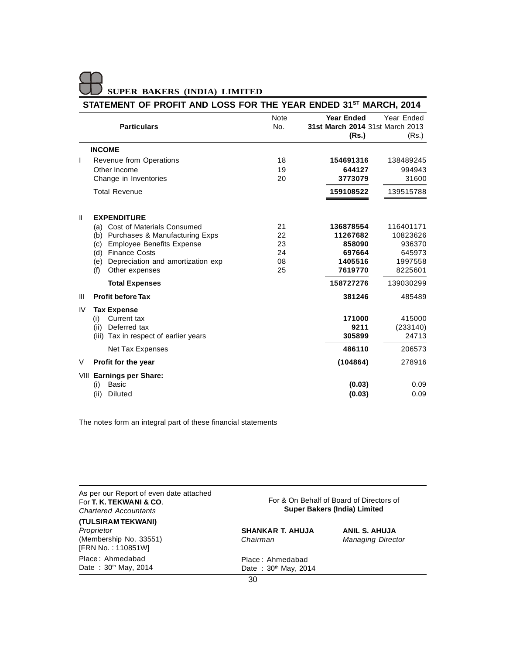# **STATEMENT OF PROFIT AND LOSS FOR THE YEAR ENDED ST 31 MARCH, 2014**

|               | <b>Particulars</b>                       | <b>Note</b><br>No. | <b>Year Ended</b><br>31st March 2014 31st March 2013<br>(Rs.) | Year Ended<br>(Rs.) |
|---------------|------------------------------------------|--------------------|---------------------------------------------------------------|---------------------|
|               | <b>INCOME</b>                            |                    |                                                               |                     |
| I.            | Revenue from Operations                  | 18                 | 154691316                                                     | 138489245           |
|               | Other Income                             | 19                 | 644127                                                        | 994943              |
|               | Change in Inventories                    | 20                 | 3773079                                                       | 31600               |
|               | <b>Total Revenue</b>                     |                    | 159108522                                                     | 139515788           |
| $\mathbf{II}$ | <b>EXPENDITURE</b>                       |                    |                                                               |                     |
|               | (a) Cost of Materials Consumed           | 21                 | 136878554                                                     | 116401171           |
|               | (b) Purchases & Manufacturing Exps       | 22                 | 11267682                                                      | 10823626            |
|               | <b>Employee Benefits Expense</b><br>(c)  | 23                 | 858090                                                        | 936370              |
|               | (d) Finance Costs                        | 24                 | 697664                                                        | 645973              |
|               | Depreciation and amortization exp<br>(e) | 08                 | 1405516                                                       | 1997558             |
|               | (f)<br>Other expenses                    | 25                 | 7619770                                                       | 8225601             |
|               | <b>Total Expenses</b>                    |                    | 158727276                                                     | 139030299           |
| Ш             | <b>Profit before Tax</b>                 |                    | 381246                                                        | 485489              |
| IV            | <b>Tax Expense</b><br>Current tax        |                    | 171000                                                        | 415000              |
|               | (i)<br>Deferred tax<br>(ii)              |                    | 9211                                                          | (233140)            |
|               | Tax in respect of earlier years<br>(iii) |                    | 305899                                                        | 24713               |
|               | Net Tax Expenses                         |                    | 486110                                                        | 206573              |
| V             | Profit for the year                      |                    | (104864)                                                      | 278916              |
|               | VIII Earnings per Share:                 |                    |                                                               |                     |
|               | Basic<br>(i)                             |                    | (0.03)                                                        | 0.09                |
|               | (ii)<br><b>Diluted</b>                   |                    | (0.03)                                                        | 0.09                |

The notes form an integral part of these financial statements

| As per our Report of even date attached<br>For <b>T. K. TEKWANI &amp; CO.</b><br><b>Chartered Accountants</b> | For & On Behalf of Board of Directors of<br><b>Super Bakers (India) Limited</b> |                                                  |
|---------------------------------------------------------------------------------------------------------------|---------------------------------------------------------------------------------|--------------------------------------------------|
| (TULSIRAM TEKWANI)<br>Proprietor<br>(Membership No. 33551)<br>[FRN No.: 110851W]                              | <b>SHANKAR T. AHUJA</b><br>Chairman                                             | <b>ANIL S. AHUJA</b><br><b>Managing Director</b> |
| Place: Ahmedabad<br>Date: $30^{th}$ May, 2014                                                                 | Place: Ahmedabad<br>Date: 30 <sup>th</sup> May, 2014                            |                                                  |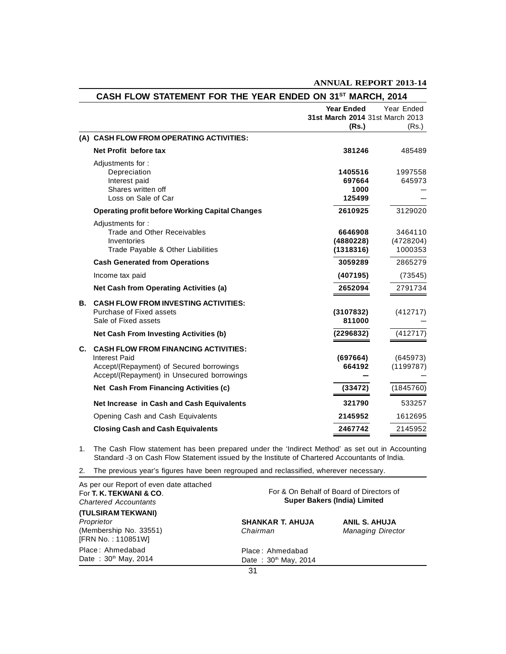|                |                                                                                                                                                               | <b>Year Ended</b>                   | Year Ended                      |
|----------------|---------------------------------------------------------------------------------------------------------------------------------------------------------------|-------------------------------------|---------------------------------|
|                |                                                                                                                                                               | 31st March 2014 31st March 2013     |                                 |
|                |                                                                                                                                                               | (Rs.)                               | (Rs.)                           |
|                | (A) CASH FLOW FROM OPERATING ACTIVITIES:                                                                                                                      |                                     |                                 |
|                | Net Profit before tax                                                                                                                                         | 381246                              | 485489                          |
|                | Adjustments for:<br>Depreciation<br>Interest paid<br>Shares written off<br>Loss on Sale of Car                                                                | 1405516<br>697664<br>1000<br>125499 | 1997558<br>645973               |
|                | <b>Operating profit before Working Capital Changes</b>                                                                                                        | 2610925                             | 3129020                         |
|                | Adjustments for:<br><b>Trade and Other Receivables</b><br>Inventories<br>Trade Payable & Other Liabilities                                                    | 6646908<br>(4880228)<br>(1318316)   | 3464110<br>(4728204)<br>1000353 |
|                | <b>Cash Generated from Operations</b>                                                                                                                         | 3059289                             | 2865279                         |
|                | Income tax paid                                                                                                                                               | (407195)                            | (73545)                         |
|                | Net Cash from Operating Activities (a)                                                                                                                        | 2652094                             | 2791734                         |
| <b>B.</b>      | <b>CASH FLOW FROM INVESTING ACTIVITIES:</b><br>Purchase of Fixed assets<br>Sale of Fixed assets                                                               | (3107832)<br>811000                 | (412717)                        |
|                | <b>Net Cash From Investing Activities (b)</b>                                                                                                                 | (2296832)                           | (412717)                        |
| $\mathbf{C}$ . | <b>CASH FLOW FROM FINANCING ACTIVITIES:</b><br><b>Interest Paid</b><br>Accept/(Repayment) of Secured borrowings<br>Accept/(Repayment) in Unsecured borrowings | (697664)<br>664192                  | (645973)<br>(1199787)           |
|                | Net Cash From Financing Activities (c)                                                                                                                        | (33472)                             | (1845760)                       |
|                | Net Increase in Cash and Cash Equivalents                                                                                                                     | 321790                              | 533257                          |
|                | Opening Cash and Cash Equivalents                                                                                                                             | 2145952                             | 1612695                         |
|                | <b>Closing Cash and Cash Equivalents</b>                                                                                                                      | 2467742                             | 2145952                         |
|                |                                                                                                                                                               |                                     |                                 |

# **CASH FLOW STATEMENT FOR THE YEAR ENDED ON ST 31 MARCH, 2014**

1. The Cash Flow statement has been prepared under the 'Indirect Method' as set out in Accounting Standard -3 on Cash Flow Statement issued by the Institute of Chartered Accountants of India.

2. The previous year's figures have been regrouped and reclassified, wherever necessary.

| As per our Report of even date attached<br>For <b>T. K. TEKWANI &amp; CO.</b><br><b>Chartered Accountants</b> | For & On Behalf of Board of Directors of<br><b>Super Bakers (India) Limited</b> |                          |
|---------------------------------------------------------------------------------------------------------------|---------------------------------------------------------------------------------|--------------------------|
| (TULSIRAM TEKWANI)                                                                                            |                                                                                 |                          |
| Proprietor                                                                                                    | <b>SHANKAR T. AHUJA</b>                                                         | ANIL S. AHUJA            |
| (Membership No. 33551)<br>[FRN No.: 110851W]                                                                  | Chairman                                                                        | <b>Managing Director</b> |
| Place: Ahmedabad                                                                                              | Place: Ahmedabad                                                                |                          |
| Date: 30 <sup>th</sup> May, 2014                                                                              | Date: 30 <sup>th</sup> May, 2014                                                |                          |
|                                                                                                               |                                                                                 |                          |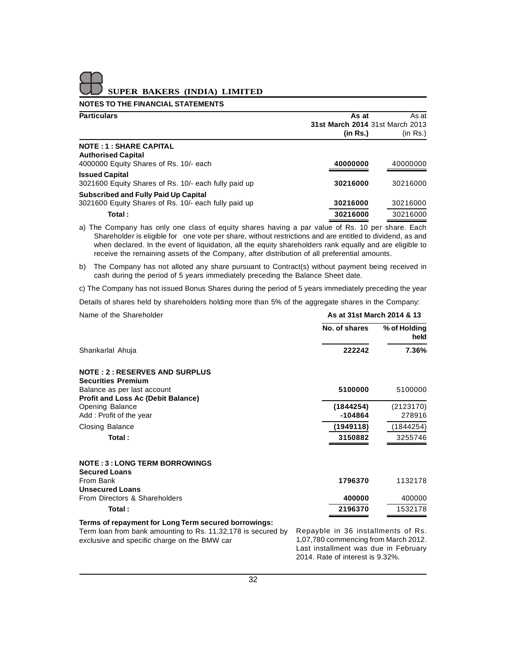#### **NOTES TO THE FINANCIAL STATEMENTS**

| <b>Particulars</b>                                   | As at                           | As at    |
|------------------------------------------------------|---------------------------------|----------|
|                                                      | 31st March 2014 31st March 2013 |          |
|                                                      | (in Rs.)                        | (in Rs.) |
| <b>NOTE: 1: SHARE CAPITAL</b>                        |                                 |          |
| <b>Authorised Capital</b>                            |                                 |          |
| 4000000 Equity Shares of Rs. 10/- each               | 40000000                        | 40000000 |
| <b>Issued Capital</b>                                |                                 |          |
| 3021600 Equity Shares of Rs. 10/- each fully paid up | 30216000                        | 30216000 |
| <b>Subscribed and Fully Paid Up Capital</b>          |                                 |          |
| 3021600 Equity Shares of Rs. 10/- each fully paid up | 30216000                        | 30216000 |
| Total:                                               | 30216000                        | 30216000 |
|                                                      |                                 |          |

a) The Company has only one class of equity shares having a par value of Rs. 10 per share. Each Shareholder is eligible for one vote per share, without restrictions and are entitled to dividend, as and when declared. In the event of liquidation, all the equity shareholders rank equally and are eligible to receive the remaining assets of the Company, after distribution of all preferential amounts.

b) The Company has not alloted any share pursuant to Contract(s) without payment being received in cash during the period of 5 years immediately preceding the Balance Sheet date.

c) The Company has not issued Bonus Shares during the period of 5 years immediately preceding the year

Details of shares held by shareholders holding more than 5% of the aggregate shares in the Company:

| Name of the Shareholder                                             | As at 31st March 2014 & 13 |                      |
|---------------------------------------------------------------------|----------------------------|----------------------|
|                                                                     | No. of shares              | % of Holding<br>held |
| Shankarlal Ahuja                                                    | 222242                     | 7.36%                |
| <b>NOTE: 2: RESERVES AND SURPLUS</b><br><b>Securities Premium</b>   |                            |                      |
| Balance as per last account                                         | 5100000                    | 5100000              |
| <b>Profit and Loss Ac (Debit Balance)</b><br><b>Opening Balance</b> | (1844254)                  | (2123170)            |
| Add: Profit of the year                                             | $-104864$                  | 278916               |
| Closing Balance                                                     | (1949118)                  | (1844254)            |
| Total:                                                              | 3150882                    | 3255746              |
| <b>NOTE: 3: LONG TERM BORROWINGS</b>                                |                            |                      |
| <b>Secured Loans</b>                                                |                            |                      |
| From Bank<br><b>Unsecured Loans</b>                                 | 1796370                    | 1132178              |
| From Directors & Shareholders                                       | 400000                     | 400000               |
| Total:                                                              | 2196370                    | 1532178              |
| Terms of repayment for Long Term secured borrowings:                |                            |                      |

Term loan from bank amounting to Rs. 11,32,178 is secured by exclusive and specific charge on the BMW car

Repayble in 36 installments of Rs. 1,07,780 commencing from March 2012. Last installment was due in February 2014. Rate of interest is 9.32%.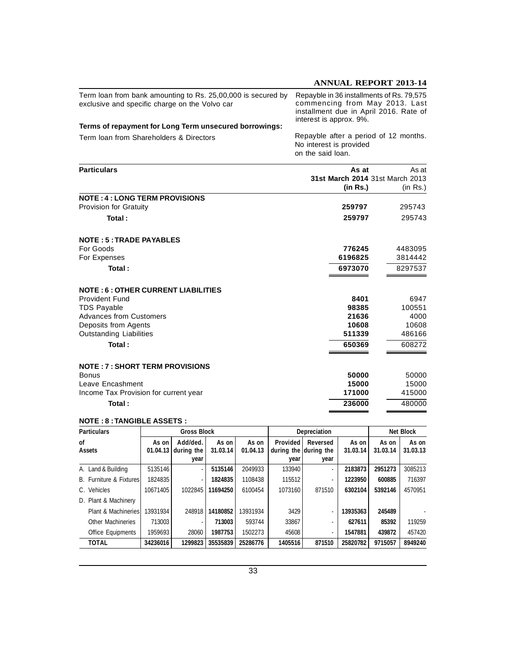# **ANNUAL REPORT 2013-14**

| Term loan from bank amounting to Rs. 25,00,000 is secured by<br>exclusive and specific charge on the Volvo car | Repayble in 36 installments of Rs. 79,575<br>commencing from May 2013. Last<br>installment due in April 2016. Rate of<br>interest is approx. 9%. |
|----------------------------------------------------------------------------------------------------------------|--------------------------------------------------------------------------------------------------------------------------------------------------|
| Terms of repayment for Long Term unsecured borrowings:                                                         |                                                                                                                                                  |
| Term loan from Shareholders & Directors                                                                        | Repayble after a period of 12 months.<br>No interest is provided<br>on the said loan.                                                            |

| <b>Particulars</b>                        | As at                           | As at    |
|-------------------------------------------|---------------------------------|----------|
|                                           | 31st March 2014 31st March 2013 |          |
|                                           | (in Rs.)                        | (in Rs.) |
| <b>NOTE: 4: LONG TERM PROVISIONS</b>      |                                 |          |
| <b>Provision for Gratuity</b>             | 259797                          | 295743   |
| Total:                                    | 259797                          | 295743   |
| <b>NOTE: 5: TRADE PAYABLES</b>            |                                 |          |
| For Goods                                 | 776245                          | 4483095  |
| For Expenses                              | 6196825                         | 3814442  |
| Total:                                    | 6973070                         | 8297537  |
| <b>NOTE: 6: OTHER CURRENT LIABILITIES</b> |                                 |          |
| <b>Provident Fund</b>                     | 8401                            | 6947     |
| <b>TDS Payable</b>                        | 98385                           | 100551   |
| <b>Advances from Customers</b>            | 21636                           | 4000     |
| Deposits from Agents                      | 10608                           | 10608    |
| <b>Outstanding Liabilities</b>            | 511339                          | 486166   |
| Total:                                    | 650369                          | 608272   |
| <b>NOTE: 7: SHORT TERM PROVISIONS</b>     |                                 |          |
| <b>Bonus</b>                              | 50000                           | 50000    |
| Leave Encashment                          | 15000                           | 15000    |
| Income Tax Provision for current year     | 171000                          | 415000   |
| Total:                                    | 236000                          | 480000   |

#### **NOTE : 8 :TANGIBLE ASSETS :**

|    | Particulars                    |          | <b>Gross Block</b> |          |          | Depreciation |                          | Net Block |          |          |
|----|--------------------------------|----------|--------------------|----------|----------|--------------|--------------------------|-----------|----------|----------|
| 0f |                                | As on    | Add/ded.           | As on    | As on    | Provided     | Reversed                 | As on     | As on    | As on    |
|    | Assets                         | 01.04.13 | during the         | 31.03.14 | 01.04.13 |              | during the during the    | 31.03.14  | 31.03.14 | 31.03.13 |
|    |                                |          | year               |          |          | year         | year                     |           |          |          |
|    | A. Land & Building             | 5135146  | $\blacksquare$     | 5135146  | 2049933  | 133940       | $\overline{\phantom{0}}$ | 2183873   | 2951273  | 3085213  |
|    | <b>B.</b> Furniture & Fixtures | 1824835  | ٠                  | 1824835  | 1108438  | 115512       | $\overline{\phantom{a}}$ | 1223950   | 600885   | 716397   |
|    | C. Vehicles                    | 10671405 | 1022845            | 11694250 | 6100454  | 1073160      | 871510                   | 6302104   | 5392146  | 4570951  |
|    | D. Plant & Machinery           |          |                    |          |          |              |                          |           |          |          |
|    | Plant & Machineries            | 13931934 | 248918             | 14180852 | 13931934 | 3429         | $\overline{\phantom{a}}$ | 13935363  | 245489   |          |
|    | Other Machineries              | 713003   |                    | 713003   | 593744   | 33867        | ۰                        | 627611    | 85392    | 119259   |
|    | Office Equipments              | 1959693  | 28060              | 1987753  | 1502273  | 45608        | $\overline{\phantom{a}}$ | 1547881   | 439872   | 457420   |
|    | <b>TOTAL</b>                   | 34236016 | 1299823            | 35535839 | 25286776 | 1405516      | 871510                   | 25820782  | 9715057  | 8949240  |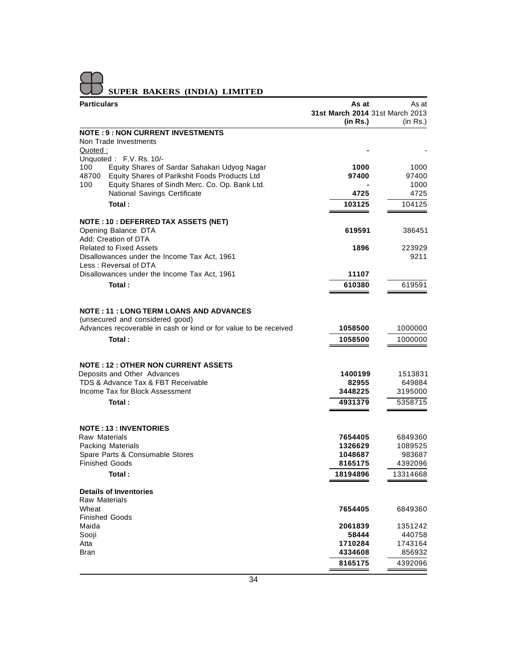| <b>Particulars</b>                                                                                     | As at                           | As at    |
|--------------------------------------------------------------------------------------------------------|---------------------------------|----------|
|                                                                                                        | 31st March 2014 31st March 2013 |          |
|                                                                                                        | (in Rs.)                        | (in Rs.) |
| <b>NOTE: 9: NON CURRENT INVESTMENTS</b>                                                                |                                 |          |
| Non Trade Investments                                                                                  |                                 |          |
| Quoted:                                                                                                |                                 |          |
| Unquoted: F.V. Rs. 10/-<br>100                                                                         | 1000                            | 1000     |
| Equity Shares of Sardar Sahakari Udyog Nagar<br>48700<br>Equity Shares of Parikshit Foods Products Ltd | 97400                           | 97400    |
| 100<br>Equity Shares of Sindh Merc. Co. Op. Bank Ltd.                                                  |                                 | 1000     |
| National Savings Certificate                                                                           | 4725                            | 4725     |
| Total:                                                                                                 | 103125                          | 104125   |
|                                                                                                        |                                 |          |
| <b>NOTE : 10 : DEFERRED TAX ASSETS (NET)</b>                                                           |                                 |          |
| Opening Balance DTA                                                                                    | 619591                          | 386451   |
| Add: Creation of DTA                                                                                   |                                 |          |
| <b>Related to Fixed Assets</b>                                                                         | 1896                            | 223929   |
| Disallowances under the Income Tax Act, 1961<br>Less: Reversal of DTA                                  |                                 | 9211     |
| Disallowances under the Income Tax Act, 1961                                                           | 11107                           |          |
| Total:                                                                                                 | 610380                          | 619591   |
|                                                                                                        |                                 |          |
|                                                                                                        |                                 |          |
| <b>NOTE : 11 : LONG TERM LOANS AND ADVANCES</b>                                                        |                                 |          |
| (unsecured and considered good)                                                                        |                                 |          |
| Advances recoverable in cash or kind or for value to be received                                       | 1058500                         | 1000000  |
| Total:                                                                                                 | 1058500                         | 1000000  |
|                                                                                                        |                                 |          |
| <b>NOTE : 12 : OTHER NON CURRENT ASSETS</b>                                                            |                                 |          |
| Deposits and Other Advances                                                                            | 1400199                         | 1513831  |
| TDS & Advance Tax & FBT Receivable                                                                     | 82955                           | 649884   |
| Income Tax for Block Assessment                                                                        | 3448225                         | 3195000  |
| Total:                                                                                                 | 4931379                         | 5358715  |
|                                                                                                        |                                 |          |
| <b>NOTE: 13: INVENTORIES</b>                                                                           |                                 |          |
| Raw Materials                                                                                          | 7654405                         | 6849360  |
| <b>Packing Materials</b>                                                                               | 1326629                         | 1089525  |
| Spare Parts & Consumable Stores                                                                        | 1048687                         | 983687   |
| <b>Finished Goods</b>                                                                                  | 8165175                         | 4392096  |
| Total:                                                                                                 | 18194896                        | 13314668 |
| <b>Details of Inventories</b>                                                                          |                                 |          |
| <b>Raw Materials</b>                                                                                   |                                 |          |
| Wheat                                                                                                  | 7654405                         | 6849360  |
| <b>Finished Goods</b>                                                                                  |                                 |          |
| Maida                                                                                                  | 2061839                         | 1351242  |
| Sooji                                                                                                  | 58444                           | 440758   |
| Atta                                                                                                   | 1710284                         | 1743164  |
| Bran                                                                                                   | 4334608                         | 856932   |
|                                                                                                        | 8165175                         | 4392096  |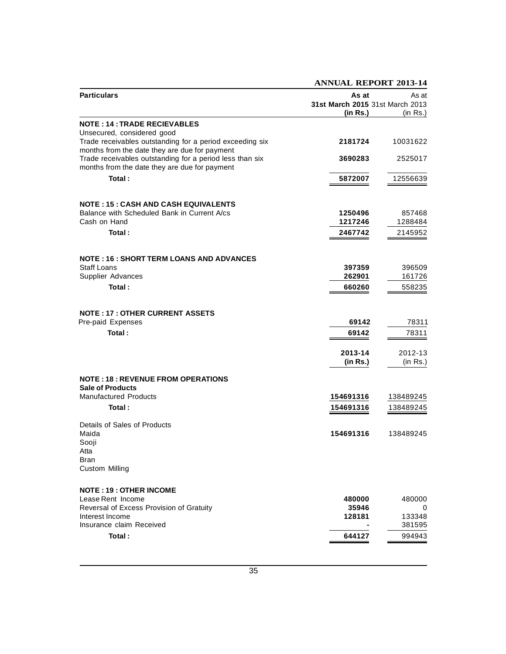| <b>Particulars</b>                                                                                                                      | As at<br>31st March 2015 31st March 2013<br>(in Rs.) | As at<br>(in Rs.) |
|-----------------------------------------------------------------------------------------------------------------------------------------|------------------------------------------------------|-------------------|
| <b>NOTE: 14: TRADE RECIEVABLES</b>                                                                                                      |                                                      |                   |
| Unsecured, considered good<br>Trade receivables outstanding for a period exceeding six<br>months from the date they are due for payment | 2181724                                              | 10031622          |
| Trade receivables outstanding for a period less than six<br>months from the date they are due for payment                               | 3690283                                              | 2525017           |
| Total:                                                                                                                                  | 5872007                                              | 12556639          |
| <b>NOTE: 15: CASH AND CASH EQUIVALENTS</b>                                                                                              |                                                      |                   |
| Balance with Scheduled Bank in Current A/cs<br>Cash on Hand                                                                             | 1250496<br>1217246                                   | 857468<br>1288484 |
| Total:                                                                                                                                  | 2467742                                              | 2145952           |
| <b>NOTE : 16 : SHORT TERM LOANS AND ADVANCES</b>                                                                                        |                                                      |                   |
| <b>Staff Loans</b>                                                                                                                      | 397359                                               | 396509            |
| Supplier Advances                                                                                                                       | 262901                                               | 161726            |
| Total:                                                                                                                                  | 660260                                               | 558235            |
| <b>NOTE: 17: OTHER CURRENT ASSETS</b>                                                                                                   |                                                      |                   |
| Pre-paid Expenses                                                                                                                       | 69142                                                | 78311             |
| Total:                                                                                                                                  | 69142                                                | 78311             |
|                                                                                                                                         | 2013-14                                              | 2012-13           |
|                                                                                                                                         | (in Rs.)                                             | (in Rs.)          |
| <b>NOTE: 18 : REVENUE FROM OPERATIONS</b><br><b>Sale of Products</b>                                                                    |                                                      |                   |
| <b>Manufactured Products</b>                                                                                                            | 154691316                                            | 138489245         |
| Total:                                                                                                                                  | 154691316                                            | 138489245         |
| Details of Sales of Products<br>Maida<br>Sooji<br>Atta<br>Bran<br><b>Custom Milling</b>                                                 | 154691316                                            | 138489245         |
| <b>NOTE: 19: OTHER INCOME</b>                                                                                                           |                                                      |                   |
| Lease Rent Income                                                                                                                       | 480000                                               | 480000            |
| Reversal of Excess Provision of Gratuity<br>Interest Income                                                                             | 35946<br>128181                                      | 0<br>133348       |
| Insurance claim Received                                                                                                                |                                                      | 381595            |
| Total:                                                                                                                                  | 644127                                               | 994943            |
|                                                                                                                                         |                                                      |                   |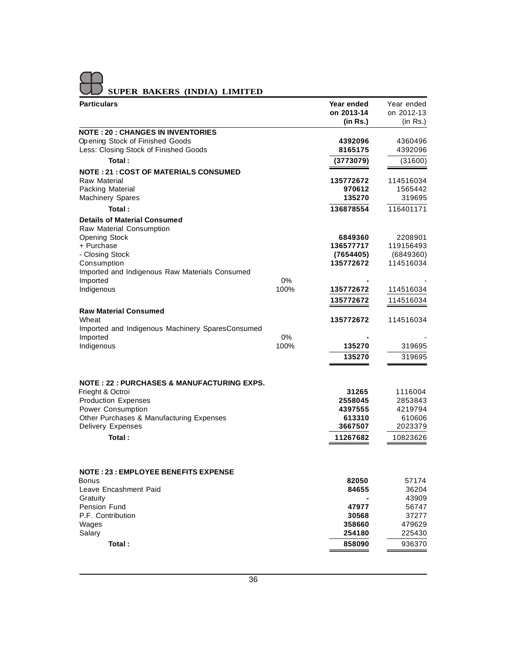| SUPER BAKERS (INDIA) LIMITED                                    |      |                                      |                                      |
|-----------------------------------------------------------------|------|--------------------------------------|--------------------------------------|
| <b>Particulars</b>                                              |      | Year ended<br>on 2013-14<br>(in Rs.) | Year ended<br>on 2012-13<br>(in Rs.) |
| <b>NOTE: 20: CHANGES IN INVENTORIES</b>                         |      |                                      |                                      |
| Opening Stock of Finished Goods                                 |      | 4392096                              | 4360496                              |
| Less: Closing Stock of Finished Goods                           |      | 8165175                              | 4392096                              |
| Total:                                                          |      | (3773079)                            | (31600)                              |
| <b>NOTE: 21: COST OF MATERIALS CONSUMED</b>                     |      |                                      |                                      |
| <b>Raw Material</b>                                             |      | 135772672                            | 114516034                            |
| Packing Material                                                |      | 970612                               | 1565442                              |
| <b>Machinery Spares</b>                                         |      | 135270                               | 319695                               |
| Total:                                                          |      | 136878554                            | 116401171                            |
| <b>Details of Material Consumed</b><br>Raw Material Consumption |      |                                      |                                      |
| <b>Opening Stock</b>                                            |      | 6849360                              | 2208901                              |
| + Purchase                                                      |      | 136577717                            | 119156493                            |
| - Closing Stock                                                 |      | (7654405)                            | (6849360)                            |
| Consumption                                                     |      | 135772672                            | 114516034                            |
| Imported and Indigenous Raw Materials Consumed<br>Imported      | 0%   |                                      |                                      |
| Indigenous                                                      | 100% | 135772672                            | 114516034                            |
|                                                                 |      | 135772672                            | 114516034                            |
|                                                                 |      |                                      |                                      |
| <b>Raw Material Consumed</b><br>Wheat                           |      | 135772672                            | 114516034                            |
| Imported and Indigenous Machinery SparesConsumed                |      |                                      |                                      |
| Imported                                                        | 0%   |                                      |                                      |
| Indigenous                                                      | 100% | 135270                               | 319695                               |
|                                                                 |      | 135270                               | 319695                               |
|                                                                 |      |                                      |                                      |
| <b>NOTE : 22 : PURCHASES &amp; MANUFACTURING EXPS.</b>          |      |                                      |                                      |
| Frieght & Octroi                                                |      | 31265                                | 1116004                              |
| <b>Production Expenses</b><br>Power Consumption                 |      | 2558045<br>4397555                   | 2853843<br>4219794                   |
| Other Purchases & Manufacturing Expenses                        |      | 613310                               | 610606                               |
| <b>Delivery Expenses</b>                                        |      | 3667507                              | 2023379                              |
| Total:                                                          |      | 11267682                             | 10823626                             |
|                                                                 |      |                                      |                                      |
| <b>NOTE: 23 : EMPLOYEE BENEFITS EXPENSE</b>                     |      |                                      |                                      |
| <b>Bonus</b>                                                    |      | 82050                                | 57174                                |
| Leave Encashment Paid                                           |      | 84655                                | 36204                                |
| Gratuity<br>Pension Fund                                        |      | 47977                                | 43909<br>56747                       |
| P.F. Contribution                                               |      | 30568                                | 37277                                |
| Wages                                                           |      | 358660                               | 479629                               |
| Salary                                                          |      | 254180                               | 225430                               |
| Total:                                                          |      | 858090                               | 936370                               |
|                                                                 |      |                                      |                                      |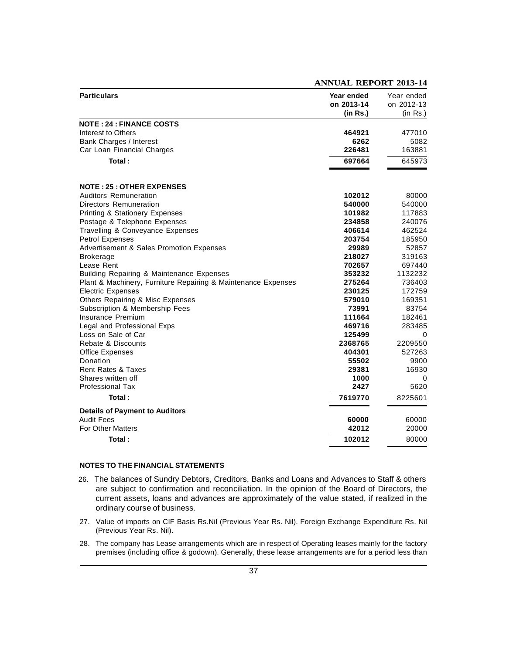|                                                               | <b>ANNUAL REPORT 2013-14</b> |            |
|---------------------------------------------------------------|------------------------------|------------|
| <b>Particulars</b>                                            | Year ended                   | Year ended |
|                                                               | on 2013-14                   | on 2012-13 |
|                                                               | (in Rs.)                     | (in Rs.)   |
| <b>NOTE: 24 : FINANCE COSTS</b>                               |                              |            |
| Interest to Others                                            | 464921                       | 477010     |
| Bank Charges / Interest                                       | 6262                         | 5082       |
| Car Loan Financial Charges                                    | 226481                       | 163881     |
| Total:                                                        | 697664                       | 645973     |
| <b>NOTE: 25 : OTHER EXPENSES</b>                              |                              |            |
| <b>Auditors Remuneration</b>                                  | 102012                       | 80000      |
| Directors Remuneration                                        | 540000                       | 540000     |
| <b>Printing &amp; Stationery Expenses</b>                     | 101982                       | 117883     |
| Postage & Telephone Expenses                                  | 234858                       | 240076     |
| Travelling & Conveyance Expenses                              | 406614                       | 462524     |
| <b>Petrol Expenses</b>                                        | 203754                       | 185950     |
| Advertisement & Sales Promotion Expenses                      | 29989                        | 52857      |
| <b>Brokerage</b>                                              | 218027                       | 319163     |
| Lease Rent                                                    | 702657                       | 697440     |
| Building Repairing & Maintenance Expenses                     | 353232                       | 1132232    |
| Plant & Machinery, Furniture Repairing & Maintenance Expenses | 275264                       | 736403     |
| <b>Electric Expenses</b>                                      | 230125                       | 172759     |
| Others Repairing & Misc Expenses                              | 579010                       | 169351     |
| Subscription & Membership Fees                                | 73991                        | 83754      |
| Insurance Premium                                             | 111664                       | 182461     |
| Legal and Professional Exps                                   | 469716                       | 283485     |
| Loss on Sale of Car                                           | 125499                       | 0          |
| Rebate & Discounts                                            | 2368765                      | 2209550    |
| <b>Office Expenses</b>                                        | 404301                       | 527263     |
| Donation                                                      | 55502                        | 9900       |
| <b>Rent Rates &amp; Taxes</b>                                 | 29381                        | 16930      |
| Shares written off                                            | 1000                         | 0          |
| <b>Professional Tax</b>                                       | 2427                         | 5620       |
| Total:                                                        | 7619770                      | 8225601    |
| <b>Details of Payment to Auditors</b>                         |                              |            |
| <b>Audit Fees</b>                                             | 60000                        | 60000      |
| <b>For Other Matters</b>                                      | 42012                        | 20000      |
| Total :                                                       | 102012                       | 80000      |

#### **NOTES TO THE FINANCIAL STATEMENTS**

- 26. The balances of Sundry Debtors, Creditors, Banks and Loans and Advances to Staff & others are subject to confirmation and reconciliation. In the opinion of the Board of Directors, the current assets, loans and advances are approximately of the value stated, if realized in the ordinary course of business.
- 27. Value of imports on CIF Basis Rs.Nil (Previous Year Rs. Nil). Foreign Exchange Expenditure Rs. Nil (Previous Year Rs. Nil).
- 28. The company has Lease arrangements which are in respect of Operating leases mainly for the factory premises (including office & godown). Generally, these lease arrangements are for a period less than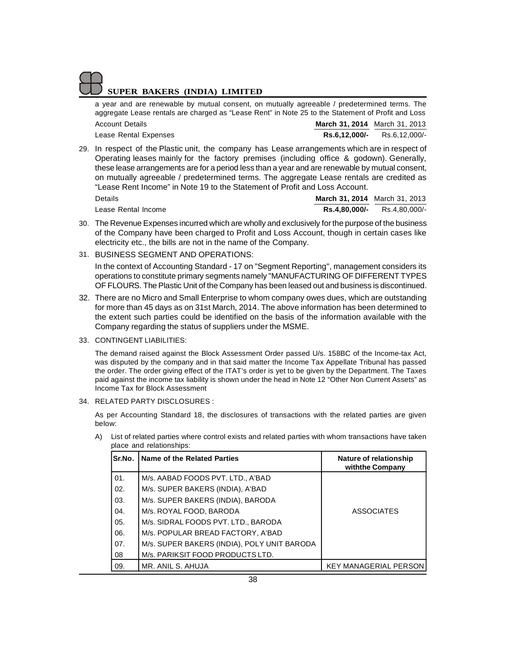a year and are renewable by mutual consent, on mutually agreeable / predetermined terms. The aggregate Lease rentals are charged as "Lease Rent" in Note 25 to the Statement of Profit and Loss Account Details **March 31, 2014** March 31, 2013

Lease Rental Expenses **Rs.6,12,000/-** Rs.6,12,000/-

29. In respect of the Plastic unit, the company has Lease arrangements which are in respect of Operating leases mainly for the factory premises (including office & godown). Generally, these lease arrangements are for a period less than a year and are renewable by mutual consent, on mutually agreeable / predetermined terms. The aggregate Lease rentals are credited as "Lease Rent Income" in Note 19 to the Statement of Profit and Loss Account.

| Details             | <b>March 31, 2014</b> March 31, 2013 |                                    |
|---------------------|--------------------------------------|------------------------------------|
| Lease Rental Income |                                      | <b>Rs.4.80.000/-</b> Rs.4.80.000/- |

- 30. The Revenue Expenses incurred which are wholly and exclusively forthe purpose of the business of the Company have been charged to Profit and Loss Account, though in certain cases like electricity etc., the bills are not in the name of the Company.
- 31. BUSINESS SEGMENT AND OPERATIONS:

In the context of Accounting Standard - 17 on "Segment Reporting", management considers its operations to constitute primary segments namely "MANUFACTURING OF DIFFERENT TYPES OF FLOURS. The Plastic Unit of the Company has been leased out and business is discontinued.

- 32. There are no Micro and Small Enterprise to whom company owes dues, which are outstanding for more than 45 days as on 31st March, 2014. The above information has been determined to the extent such parties could be identified on the basis of the information available with the Company regarding the status of suppliers under the MSME.
- 33. CONTINGENT LIABILITIES:

The demand raised against the Block Assessment Order passed U/s. 158BC of the Income-tax Act, was disputed by the company and in that said matter the Income Tax Appellate Tribunal has passed the order. The order giving effect of the ITAT's order is yet to be given by the Department. The Taxes paid against the income tax liability is shown under the head in Note 12 "Other Non Current Assets" as Income Tax for Block Assessment

34. RELATED PARTY DISCLOSURES :

As per Accounting Standard 18, the disclosures of transactions with the related parties are given below:

| Sr.No. | Name of the Related Parties                 | Nature of relationship<br>withthe Company |
|--------|---------------------------------------------|-------------------------------------------|
| 01.    | M/s. AABAD FOODS PVT. LTD., A'BAD           |                                           |
| 02.    | M/s. SUPER BAKERS (INDIA), A'BAD            |                                           |
| 03.    | M/s. SUPER BAKERS (INDIA), BARODA           |                                           |
| 04.    | M/s. ROYAL FOOD, BARODA                     | <b>ASSOCIATES</b>                         |
| 05.    | M/s. SIDRAL FOODS PVT. LTD., BARODA         |                                           |
| 06.    | M/s. POPULAR BREAD FACTORY, A'BAD           |                                           |
| 07.    | M/s. SUPER BAKERS (INDIA), POLY UNIT BARODA |                                           |
| 08     | M/s. PARIKSIT FOOD PRODUCTS LTD.            |                                           |
| 09.    | MR. ANIL S. AHUJA                           | <b>KEY MANAGERIAL PERSON</b>              |

A) List of related parties where control exists and related parties with whom transactions have taken place and relationships: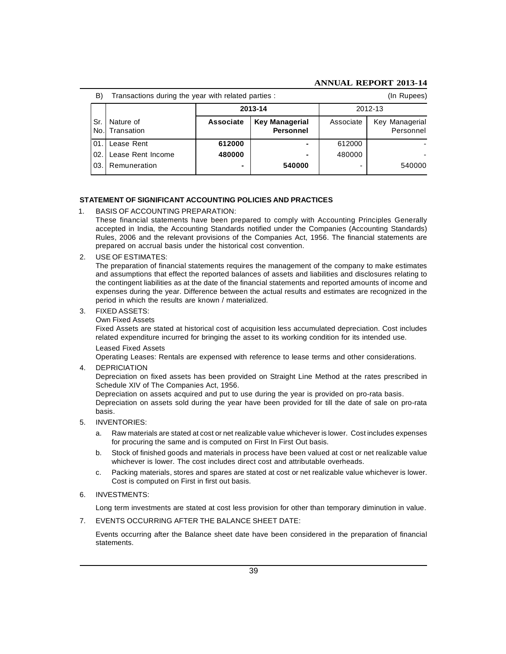#### **ANNUAL REPORT 2013-14**

| B)         | Transactions during the year with related parties : |           |                                           |           | (In Rupees)                 |  |  |
|------------|-----------------------------------------------------|-----------|-------------------------------------------|-----------|-----------------------------|--|--|
|            |                                                     | 2013-14   |                                           | 2012-13   |                             |  |  |
| Sr.<br>No. | Nature of<br>Transation                             | Associate | <b>Key Managerial</b><br><b>Personnel</b> | Associate | Key Managerial<br>Personnel |  |  |
| 01         | Lease Rent                                          | 612000    | ۰                                         | 612000    |                             |  |  |
| 02.        | Lease Rent Income                                   | 480000    | ۰                                         | 480000    |                             |  |  |
| 03.        | Remuneration                                        | ۰         | 540000                                    |           | 540000                      |  |  |

# **STATEMENT OF SIGNIFICANT ACCOUNTING POLICIES AND PRACTICES**

#### 1. BASIS OF ACCOUNTING PREPARATION:

These financial statements have been prepared to comply with Accounting Principles Generally accepted in India, the Accounting Standards notified under the Companies (Accounting Standards) Rules, 2006 and the relevant provisions of the Companies Act, 1956. The financial statements are prepared on accrual basis under the historical cost convention.

2. USE OF ESTIMATES:

The preparation of financial statements requires the management of the company to make estimates and assumptions that effect the reported balances of assets and liabilities and disclosures relating to the contingent liabilities as at the date of the financial statements and reported amounts of income and expenses during the year. Difference between the actual results and estimates are recognized in the period in which the results are known / materialized.

#### 3. FIXED ASSETS:

#### Own Fixed Assets

Fixed Assets are stated at historical cost of acquisition less accumulated depreciation. Cost includes related expenditure incurred for bringing the asset to its working condition for its intended use.

#### Leased Fixed Assets

Operating Leases: Rentals are expensed with reference to lease terms and other considerations.

#### 4. DEPRICIATION

Depreciation on fixed assets has been provided on Straight Line Method at the rates prescribed in Schedule XIV of The Companies Act, 1956.

Depreciation on assets acquired and put to use during the year is provided on pro-rata basis. Depreciation on assets sold during the year have been provided for till the date of sale on pro-rata basis.

- 5. INVENTORIES:
	- a. Raw materials are stated at cost or net realizable value whichever is lower. Cost includes expenses for procuring the same and is computed on First In First Out basis.
	- b. Stock of finished goods and materials in process have been valued at cost or net realizable value whichever is lower. The cost includes direct cost and attributable overheads.
	- c. Packing materials, stores and spares are stated at cost or net realizable value whichever is lower. Cost is computed on First in first out basis.

### 6. INVESTMENTS:

Long term investments are stated at cost less provision for other than temporary diminution in value.

7. EVENTS OCCURRING AFTER THE BALANCE SHEET DATE:

Events occurring after the Balance sheet date have been considered in the preparation of financial statements.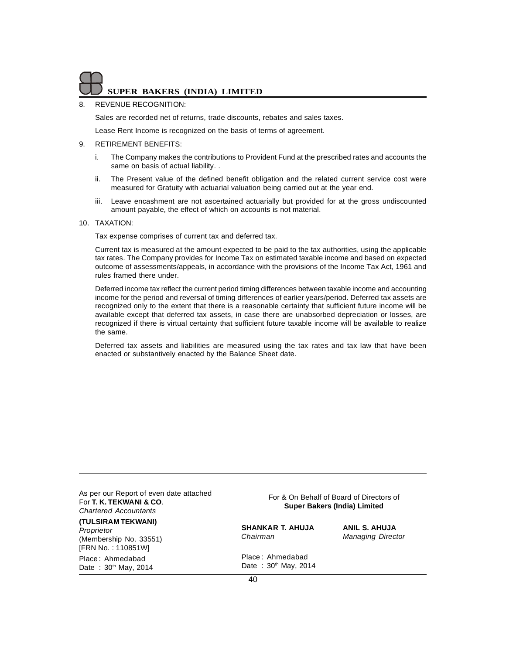

#### REVENUE RECOGNITION:

Sales are recorded net of returns, trade discounts, rebates and sales taxes.

Lease Rent Income is recognized on the basis of terms of agreement.

#### 9. RETIREMENT BENEFITS:

- i. The Company makes the contributions to Provident Fund at the prescribed rates and accounts the same on basis of actual liability. .
- ii. The Present value of the defined benefit obligation and the related current service cost were measured for Gratuity with actuarial valuation being carried out at the year end.
- iii. Leave encashment are not ascertained actuarially but provided for at the gross undiscounted amount payable, the effect of which on accounts is not material.

#### 10. TAXATION:

Tax expense comprises of current tax and deferred tax.

Current tax is measured at the amount expected to be paid to the tax authorities, using the applicable tax rates. The Company provides for Income Tax on estimated taxable income and based on expected outcome of assessments/appeals, in accordance with the provisions of the Income Tax Act, 1961 and rules framed there under.

Deferred income tax reflect the current period timing differences between taxable income and accounting income for the period and reversal of timing differences of earlier years/period. Deferred tax assets are recognized only to the extent that there is a reasonable certainty that sufficient future income will be available except that deferred tax assets, in case there are unabsorbed depreciation or losses, are recognized if there is virtual certainty that sufficient future taxable income will be available to realize the same.

Deferred tax assets and liabilities are measured using the tax rates and tax law that have been enacted or substantively enacted by the Balance Sheet date.

As per our Report of even date attached For **T. K. TEKWANI & CO**. Chartered Accountants

#### **(TULSIRAM TEKWANI)**

Proprietor (Membership No. 33551) [FRN No. : 110851W] Place : Ahmedabad Date:  $30<sup>th</sup>$  May, 2014

For & On Behalf of Board of Directors of **Super Bakers (India) Limited**

**SHANKAR T. AHUJA ANIL S. AHUJA** Chairman Managing Director

Place : Ahmedabad Date:  $30<sup>th</sup>$  May, 2014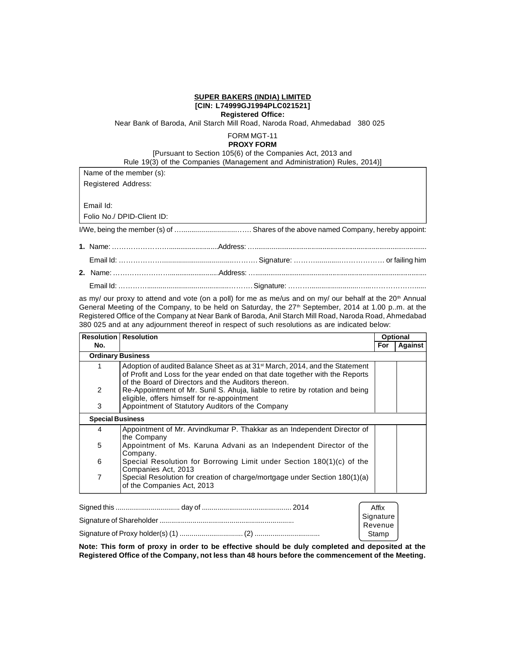#### **SUPER BAKERS (INDIA) LIMITED [CIN: L74999GJ1994PLC021521] Registered Office:**

Near Bank of Baroda, Anil Starch Mill Road, Naroda Road, Ahmedabad 380 025

#### FORM MGT-11 **PROXY FORM**

[Pursuant to Section 105(6) of the Companies Act, 2013 and Rule 19(3) of the Companies (Management and Administration) Rules, 2014)]

Name of the member (s): Registered Address:

Email Id:

Folio No./ DPID-Client ID:

I/We, being the member (s) of …...........................……. Shares of the above named Company, hereby appoint:

**1.** Name: ……………………..........................Address: …........................................................................................... Email Id: ………………....................................………. Signature: ……….............……………… or failing him **2.** Name: ……………………..........................Address: …...........................................................................................

Email Id: ………………………………………………………………………………Signature: ……………………………………………………………………………

as my/ our proxy to attend and vote (on a poll) for me as me/us and on my/ our behalf at the 20<sup>th</sup> Annual General Meeting of the Company, to be held on Saturday, the  $27<sup>th</sup>$  September, 2014 at 1.00 p.m. at the Registered Office of the Company at Near Bank of Baroda, Anil Starch Mill Road, Naroda Road, Ahmedabad 380 025 and at any adjournment thereof in respect of such resolutions as are indicated below:

|                          | <b>Resolution Resolution</b>                                                                                                                                                                                                   |            | <b>Optional</b> |  |
|--------------------------|--------------------------------------------------------------------------------------------------------------------------------------------------------------------------------------------------------------------------------|------------|-----------------|--|
| No.                      |                                                                                                                                                                                                                                | <b>For</b> | Against         |  |
| <b>Ordinary Business</b> |                                                                                                                                                                                                                                |            |                 |  |
| 1                        | Adoption of audited Balance Sheet as at 31 <sup>st</sup> March, 2014, and the Statement<br>of Profit and Loss for the year ended on that date together with the Reports<br>of the Board of Directors and the Auditors thereon. |            |                 |  |
| 2                        | Re-Appointment of Mr. Sunil S. Ahuja, liable to retire by rotation and being<br>eligible, offers himself for re-appointment                                                                                                    |            |                 |  |
| 3                        | Appointment of Statutory Auditors of the Company                                                                                                                                                                               |            |                 |  |
| <b>Special Business</b>  |                                                                                                                                                                                                                                |            |                 |  |
| 4                        | Appointment of Mr. Arvindkumar P. Thakkar as an Independent Director of<br>the Company                                                                                                                                         |            |                 |  |
| 5                        | Appointment of Ms. Karuna Advani as an Independent Director of the<br>Company.                                                                                                                                                 |            |                 |  |
| 6                        | Special Resolution for Borrowing Limit under Section 180(1)(c) of the<br>Companies Act, 2013                                                                                                                                   |            |                 |  |
| 7                        | Special Resolution for creation of charge/mortgage under Section 180(1)(a)<br>of the Companies Act, 2013                                                                                                                       |            |                 |  |

| Affix                |
|----------------------|
| Signature<br>Revenue |
| Stamp                |

**Note: This form of proxy in order to be effective should be duly completed and deposited at the Registered Office of the Company, not less than 48 hours before the commencement of the Meeting.**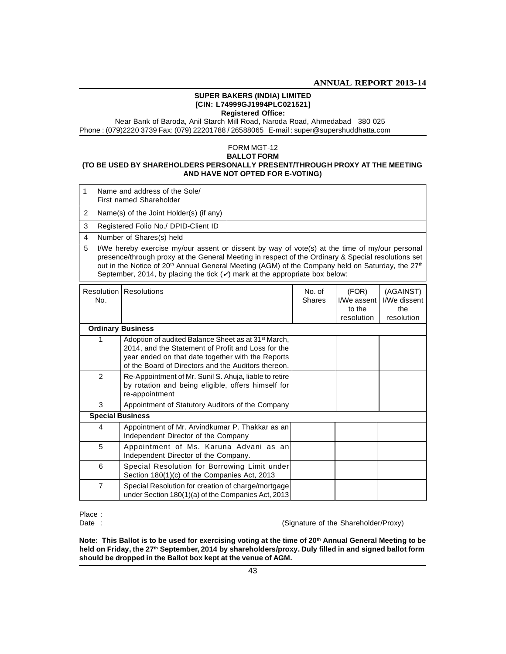#### **SUPER BAKERS (INDIA) LIMITED [CIN: L74999GJ1994PLC021521] Registered Office:**

Near Bank of Baroda, Anil Starch Mill Road, Naroda Road, Ahmedabad 380 025 Phone : (079)2220 3739 Fax: (079) 22201788 / 26588065 E-mail : super@supershuddhatta.com

#### FORM MGT-12 **BALLOT FORM (TO BE USED BY SHAREHOLDERS PERSONALLY PRESENT/THROUGH PROXY AT THE MEETING AND HAVE NOT OPTED FOR E-VOTING)**

|   | Name and address of the Sole/<br>First named Shareholder                                                                                                                                             |  |  |  |
|---|------------------------------------------------------------------------------------------------------------------------------------------------------------------------------------------------------|--|--|--|
|   | Name(s) of the Joint Holder(s) (if any)                                                                                                                                                              |  |  |  |
| 3 | Registered Folio No./ DPID-Client ID                                                                                                                                                                 |  |  |  |
| 4 | Number of Shares(s) held                                                                                                                                                                             |  |  |  |
| 5 | I/We hereby exercise my/our assent or dissent by way of vote(s) at the time of my/our personal<br>presence/through proxy at the General Meeting in respect of the Ordinary & Special resolutions set |  |  |  |

out in the Notice of 20<sup>th</sup> Annual General Meeting (AGM) of the Company held on Saturday, the  $27<sup>th</sup>$ September, 2014, by placing the tick  $($  $)$  mark at the appropriate box below:

| No.                      | <b>Resolution   Resolutions</b>                                                                                                                                                                                                   | No. of<br><b>Shares</b> | (FOR)<br>I/We assent<br>to the<br>resolution | (AGAINST)<br>I/We dissent<br>the<br>resolution |
|--------------------------|-----------------------------------------------------------------------------------------------------------------------------------------------------------------------------------------------------------------------------------|-------------------------|----------------------------------------------|------------------------------------------------|
| <b>Ordinary Business</b> |                                                                                                                                                                                                                                   |                         |                                              |                                                |
| 1                        | Adoption of audited Balance Sheet as at 31 <sup>st</sup> March,<br>2014, and the Statement of Profit and Loss for the<br>year ended on that date together with the Reports<br>of the Board of Directors and the Auditors thereon. |                         |                                              |                                                |
| $\mathcal{P}$            | Re-Appointment of Mr. Sunil S. Ahuja, liable to retire<br>by rotation and being eligible, offers himself for<br>re-appointment                                                                                                    |                         |                                              |                                                |
| 3                        | Appointment of Statutory Auditors of the Company                                                                                                                                                                                  |                         |                                              |                                                |
| <b>Special Business</b>  |                                                                                                                                                                                                                                   |                         |                                              |                                                |
| 4                        | Appointment of Mr. Arvindkumar P. Thakkar as an<br>Independent Director of the Company                                                                                                                                            |                         |                                              |                                                |
| 5                        | Appointment of Ms. Karuna Advani as an<br>Independent Director of the Company.                                                                                                                                                    |                         |                                              |                                                |
| 6                        | Special Resolution for Borrowing Limit under<br>Section 180(1)(c) of the Companies Act, 2013                                                                                                                                      |                         |                                              |                                                |
| $\overline{7}$           | Special Resolution for creation of charge/mortgage<br>under Section 180(1)(a) of the Companies Act, 2013                                                                                                                          |                         |                                              |                                                |

#### Place :

Date : (Signature of the Shareholder/Proxy)

**No th te: This Ballot is to be used for exercising voting at the time of 20 Annual General Meeting to be th held on Friday, the 27 September, 2014 by shareholders/proxy. Duly filled in and signed ballot form should be dropped in the Ballot box kept at the venue of AGM.**